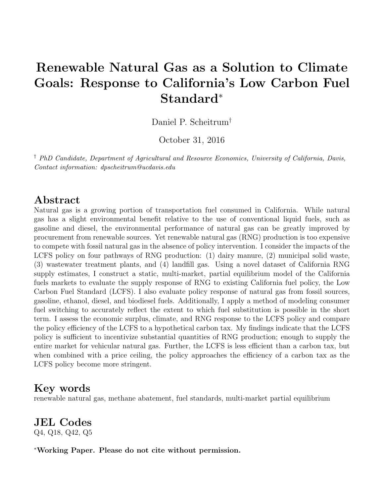# Renewable Natural Gas as a Solution to Climate Goals: Response to California's Low Carbon Fuel Standard<sup>∗</sup>

Daniel P. Scheitrum†

October 31, 2016

† PhD Candidate, Department of Agricultural and Resource Economics, University of California, Davis, Contact information: dpscheitrum@ucdavis.edu

# Abstract

Natural gas is a growing portion of transportation fuel consumed in California. While natural gas has a slight environmental benefit relative to the use of conventional liquid fuels, such as gasoline and diesel, the environmental performance of natural gas can be greatly improved by procurement from renewable sources. Yet renewable natural gas (RNG) production is too expensive to compete with fossil natural gas in the absence of policy intervention. I consider the impacts of the LCFS policy on four pathways of RNG production: (1) dairy manure, (2) municipal solid waste, (3) wastewater treatment plants, and (4) landfill gas. Using a novel dataset of California RNG supply estimates, I construct a static, multi-market, partial equilibrium model of the California fuels markets to evaluate the supply response of RNG to existing California fuel policy, the Low Carbon Fuel Standard (LCFS). I also evaluate policy response of natural gas from fossil sources, gasoline, ethanol, diesel, and biodiesel fuels. Additionally, I apply a method of modeling consumer fuel switching to accurately reflect the extent to which fuel substitution is possible in the short term. I assess the economic surplus, climate, and RNG response to the LCFS policy and compare the policy efficiency of the LCFS to a hypothetical carbon tax. My findings indicate that the LCFS policy is sufficient to incentivize substantial quantities of RNG production; enough to supply the entire market for vehicular natural gas. Further, the LCFS is less efficient than a carbon tax, but when combined with a price ceiling, the policy approaches the efficiency of a carbon tax as the LCFS policy become more stringent.

# Key words

renewable natural gas, methane abatement, fuel standards, multi-market partial equilibrium

## JEL Codes Q4, Q18, Q42, Q5

<sup>∗</sup>Working Paper. Please do not cite without permission.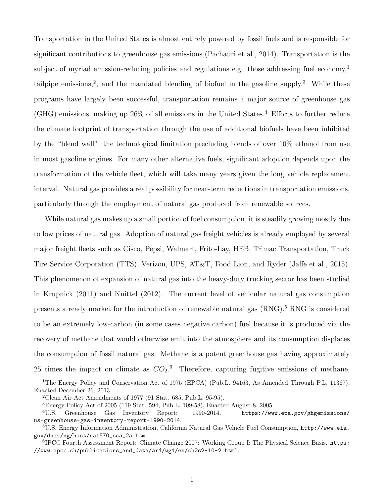Transportation in the United States is almost entirely powered by fossil fuels and is responsible for significant contributions to greenhouse gas emissions (Pachauri et al., 2014). Transportation is the subject of myriad emission-reducing policies and regulations e.g. those addressing fuel economy,<sup>1</sup> tailpipe emissions,<sup>2</sup>, and the mandated blending of biofuel in the gasoline supply.<sup>3</sup> While these programs have largely been successful, transportation remains a major source of greenhouse gas  $(GHG)$  emissions, making up  $26\%$  of all emissions in the United States.<sup>4</sup> Efforts to further reduce the climate footprint of transportation through the use of additional biofuels have been inhibited by the "blend wall"; the technological limitation precluding blends of over 10% ethanol from use in most gasoline engines. For many other alternative fuels, significant adoption depends upon the transformation of the vehicle fleet, which will take many years given the long vehicle replacement interval. Natural gas provides a real possibility for near-term reductions in transportation emissions, particularly through the employment of natural gas produced from renewable sources.

While natural gas makes up a small portion of fuel consumption, it is steadily growing mostly due to low prices of natural gas. Adoption of natural gas freight vehicles is already employed by several major freight fleets such as Cisco, Pepsi, Walmart, Frito-Lay, HEB, Trimac Transportation, Truck Tire Service Corporation (TTS), Verizon, UPS, AT&T, Food Lion, and Ryder (Jaffe et al., 2015). This phenomenon of expansion of natural gas into the heavy-duty trucking sector has been studied in Krupnick (2011) and Knittel (2012). The current level of vehicular natural gas consumption presents a ready market for the introduction of renewable natural gas (RNG).<sup>5</sup> RNG is considered to be an extremely low-carbon (in some cases negative carbon) fuel because it is produced via the recovery of methane that would otherwise emit into the atmosphere and its consumption displaces the consumption of fossil natural gas. Methane is a potent greenhouse gas having approximately 25 times the impact on climate as  $CO<sub>2</sub>$ .<sup>6</sup> Therefore, capturing fugitive emissions of methane,

<sup>&</sup>lt;sup>1</sup>The Energy Policy and Conservation Act of 1975 (EPCA) (Pub.L. 94163, As Amended Through P.L. 11367), Enacted December 26, 2013.

<sup>&</sup>lt;sup>2</sup>Clean Air Act Amendments of 1977 (91 Stat. 685, Pub.L. 95-95).

<sup>3</sup>Energy Policy Act of 2005 (119 Stat. 594, Pub.L. 109-58), Enacted August 8, 2005.

<sup>4</sup>U.S. Greenhouse Gas Inventory Report: 1990-2014. https://www.epa.gov/ghgemissions/ us-greenhouse-gas-inventory-report-1990-2014.

 $5U.S.$  Energy Information Administration, California Natural Gas Vehicle Fuel Consumption,  $http://www.eia.$ gov/dnav/ng/hist/na1570\_sca\_2a.htm.

<sup>&</sup>lt;sup>6</sup>IPCC Fourth Assessment Report: Climate Change 2007: Working Group I: The Physical Science Basis. https: //www.ipcc.ch/publications\_and\_data/ar4/wg1/en/ch2s2-10-2.html.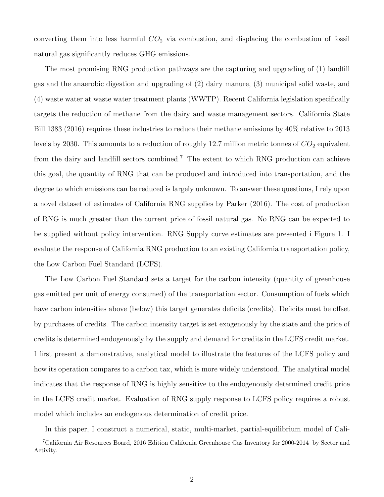converting them into less harmful  $CO<sub>2</sub>$  via combustion, and displacing the combustion of fossil natural gas significantly reduces GHG emissions.

The most promising RNG production pathways are the capturing and upgrading of (1) landfill gas and the anaerobic digestion and upgrading of (2) dairy manure, (3) municipal solid waste, and (4) waste water at waste water treatment plants (WWTP). Recent California legislation specifically targets the reduction of methane from the dairy and waste management sectors. California State Bill 1383 (2016) requires these industries to reduce their methane emissions by 40% relative to 2013 levels by 2030. This amounts to a reduction of roughly 12.7 million metric tonnes of  $CO<sub>2</sub>$  equivalent from the dairy and landfill sectors combined.<sup>7</sup> The extent to which RNG production can achieve this goal, the quantity of RNG that can be produced and introduced into transportation, and the degree to which emissions can be reduced is largely unknown. To answer these questions, I rely upon a novel dataset of estimates of California RNG supplies by Parker (2016). The cost of production of RNG is much greater than the current price of fossil natural gas. No RNG can be expected to be supplied without policy intervention. RNG Supply curve estimates are presented i Figure 1. I evaluate the response of California RNG production to an existing California transportation policy, the Low Carbon Fuel Standard (LCFS).

The Low Carbon Fuel Standard sets a target for the carbon intensity (quantity of greenhouse gas emitted per unit of energy consumed) of the transportation sector. Consumption of fuels which have carbon intensities above (below) this target generates deficits (credits). Deficits must be offset by purchases of credits. The carbon intensity target is set exogenously by the state and the price of credits is determined endogenously by the supply and demand for credits in the LCFS credit market. I first present a demonstrative, analytical model to illustrate the features of the LCFS policy and how its operation compares to a carbon tax, which is more widely understood. The analytical model indicates that the response of RNG is highly sensitive to the endogenously determined credit price in the LCFS credit market. Evaluation of RNG supply response to LCFS policy requires a robust model which includes an endogenous determination of credit price.

In this paper, I construct a numerical, static, multi-market, partial-equilibrium model of Cali-

<sup>7</sup>California Air Resources Board, 2016 Edition California Greenhouse Gas Inventory for 2000-2014 by Sector and Activity.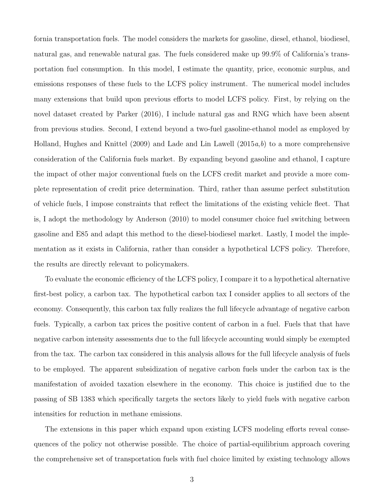fornia transportation fuels. The model considers the markets for gasoline, diesel, ethanol, biodiesel, natural gas, and renewable natural gas. The fuels considered make up 99.9% of California's transportation fuel consumption. In this model, I estimate the quantity, price, economic surplus, and emissions responses of these fuels to the LCFS policy instrument. The numerical model includes many extensions that build upon previous efforts to model LCFS policy. First, by relying on the novel dataset created by Parker (2016), I include natural gas and RNG which have been absent from previous studies. Second, I extend beyond a two-fuel gasoline-ethanol model as employed by Holland, Hughes and Knittel (2009) and Lade and Lin Lawell (2015 $a,b$ ) to a more comprehensive consideration of the California fuels market. By expanding beyond gasoline and ethanol, I capture the impact of other major conventional fuels on the LCFS credit market and provide a more complete representation of credit price determination. Third, rather than assume perfect substitution of vehicle fuels, I impose constraints that reflect the limitations of the existing vehicle fleet. That is, I adopt the methodology by Anderson (2010) to model consumer choice fuel switching between gasoline and E85 and adapt this method to the diesel-biodiesel market. Lastly, I model the implementation as it exists in California, rather than consider a hypothetical LCFS policy. Therefore, the results are directly relevant to policymakers.

To evaluate the economic efficiency of the LCFS policy, I compare it to a hypothetical alternative first-best policy, a carbon tax. The hypothetical carbon tax I consider applies to all sectors of the economy. Consequently, this carbon tax fully realizes the full lifecycle advantage of negative carbon fuels. Typically, a carbon tax prices the positive content of carbon in a fuel. Fuels that that have negative carbon intensity assessments due to the full lifecycle accounting would simply be exempted from the tax. The carbon tax considered in this analysis allows for the full lifecycle analysis of fuels to be employed. The apparent subsidization of negative carbon fuels under the carbon tax is the manifestation of avoided taxation elsewhere in the economy. This choice is justified due to the passing of SB 1383 which specifically targets the sectors likely to yield fuels with negative carbon intensities for reduction in methane emissions.

The extensions in this paper which expand upon existing LCFS modeling efforts reveal consequences of the policy not otherwise possible. The choice of partial-equilibrium approach covering the comprehensive set of transportation fuels with fuel choice limited by existing technology allows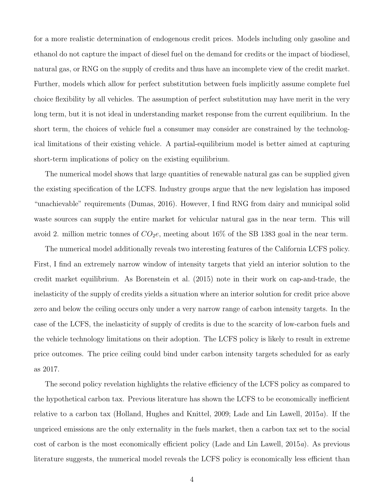for a more realistic determination of endogenous credit prices. Models including only gasoline and ethanol do not capture the impact of diesel fuel on the demand for credits or the impact of biodiesel, natural gas, or RNG on the supply of credits and thus have an incomplete view of the credit market. Further, models which allow for perfect substitution between fuels implicitly assume complete fuel choice flexibility by all vehicles. The assumption of perfect substitution may have merit in the very long term, but it is not ideal in understanding market response from the current equilibrium. In the short term, the choices of vehicle fuel a consumer may consider are constrained by the technological limitations of their existing vehicle. A partial-equilibrium model is better aimed at capturing short-term implications of policy on the existing equilibrium.

The numerical model shows that large quantities of renewable natural gas can be supplied given the existing specification of the LCFS. Industry groups argue that the new legislation has imposed "unachievable" requirements (Dumas, 2016). However, I find RNG from dairy and municipal solid waste sources can supply the entire market for vehicular natural gas in the near term. This will avoid 2. million metric tonnes of  $CO<sub>2</sub>e$ , meeting about 16% of the SB 1383 goal in the near term.

The numerical model additionally reveals two interesting features of the California LCFS policy. First, I find an extremely narrow window of intensity targets that yield an interior solution to the credit market equilibrium. As Borenstein et al. (2015) note in their work on cap-and-trade, the inelasticity of the supply of credits yields a situation where an interior solution for credit price above zero and below the ceiling occurs only under a very narrow range of carbon intensity targets. In the case of the LCFS, the inelasticity of supply of credits is due to the scarcity of low-carbon fuels and the vehicle technology limitations on their adoption. The LCFS policy is likely to result in extreme price outcomes. The price ceiling could bind under carbon intensity targets scheduled for as early as 2017.

The second policy revelation highlights the relative efficiency of the LCFS policy as compared to the hypothetical carbon tax. Previous literature has shown the LCFS to be economically inefficient relative to a carbon tax (Holland, Hughes and Knittel, 2009; Lade and Lin Lawell,  $2015a$ ). If the unpriced emissions are the only externality in the fuels market, then a carbon tax set to the social cost of carbon is the most economically efficient policy (Lade and Lin Lawell, 2015a). As previous literature suggests, the numerical model reveals the LCFS policy is economically less efficient than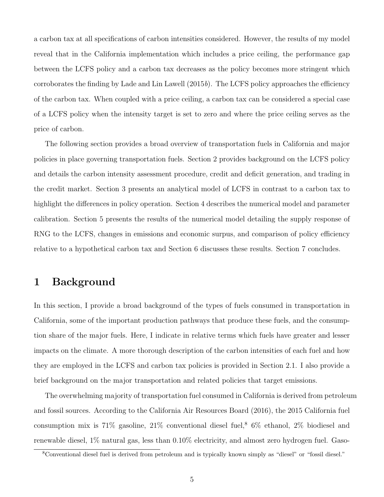a carbon tax at all specifications of carbon intensities considered. However, the results of my model reveal that in the California implementation which includes a price ceiling, the performance gap between the LCFS policy and a carbon tax decreases as the policy becomes more stringent which corroborates the finding by Lade and Lin Lawell  $(2015b)$ . The LCFS policy approaches the efficiency of the carbon tax. When coupled with a price ceiling, a carbon tax can be considered a special case of a LCFS policy when the intensity target is set to zero and where the price ceiling serves as the price of carbon.

The following section provides a broad overview of transportation fuels in California and major policies in place governing transportation fuels. Section 2 provides background on the LCFS policy and details the carbon intensity assessment procedure, credit and deficit generation, and trading in the credit market. Section 3 presents an analytical model of LCFS in contrast to a carbon tax to highlight the differences in policy operation. Section 4 describes the numerical model and parameter calibration. Section 5 presents the results of the numerical model detailing the supply response of RNG to the LCFS, changes in emissions and economic surpus, and comparison of policy efficiency relative to a hypothetical carbon tax and Section 6 discusses these results. Section 7 concludes.

# 1 Background

In this section, I provide a broad background of the types of fuels consumed in transportation in California, some of the important production pathways that produce these fuels, and the consumption share of the major fuels. Here, I indicate in relative terms which fuels have greater and lesser impacts on the climate. A more thorough description of the carbon intensities of each fuel and how they are employed in the LCFS and carbon tax policies is provided in Section 2.1. I also provide a brief background on the major transportation and related policies that target emissions.

The overwhelming majority of transportation fuel consumed in California is derived from petroleum and fossil sources. According to the California Air Resources Board (2016), the 2015 California fuel consumption mix is  $71\%$  gasoline,  $21\%$  conventional diesel fuel,<sup>8</sup> 6% ethanol, 2% biodiesel and renewable diesel, 1% natural gas, less than 0.10% electricity, and almost zero hydrogen fuel. Gaso-

<sup>8</sup>Conventional diesel fuel is derived from petroleum and is typically known simply as "diesel" or "fossil diesel."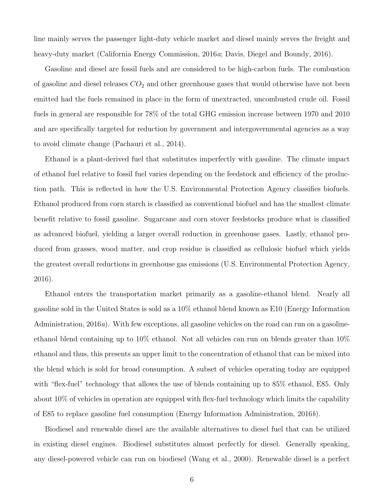line mainly serves the passenger light-duty vehicle market and diesel mainly serves the freight and heavy-duty market (California Energy Commission, 2016*a*; Davis, Diegel and Boundy, 2016).

Gasoline and diesel are fossil fuels and are considered to be high-carbon fuels. The combustion of gasoline and diesel releases  $CO<sub>2</sub>$  and other greenhouse gases that would otherwise have not been emitted had the fuels remained in place in the form of unextracted, uncombusted crude oil. Fossil fuels in general are responsible for 78% of the total GHG emission increase between 1970 and 2010 and are specifically targeted for reduction by government and intergovernmental agencies as a way to avoid climate change (Pachauri et al., 2014).

Ethanol is a plant-derived fuel that substitutes imperfectly with gasoline. The climate impact of ethanol fuel relative to fossil fuel varies depending on the feedstock and efficiency of the production path. This is reflected in how the U.S. Environmental Protection Agency classifies biofuels. Ethanol produced from corn starch is classified as conventional biofuel and has the smallest climate benefit relative to fossil gasoline. Sugarcane and corn stover feedstocks produce what is classified as advanced biofuel, yielding a larger overall reduction in greenhouse gases. Lastly, ethanol produced from grasses, wood matter, and crop residue is classified as cellulosic biofuel which yields the greatest overall reductions in greenhouse gas emissions (U.S. Environmental Protection Agency, 2016).

Ethanol enters the transportation market primarily as a gasoline-ethanol blend. Nearly all gasoline sold in the United States is sold as a 10% ethanol blend known as E10 (Energy Information Administration, 2016a). With few exceptions, all gasoline vehicles on the road can run on a gasolineethanol blend containing up to 10% ethanol. Not all vehicles can run on blends greater than 10% ethanol and thus, this presents an upper limit to the concentration of ethanol that can be mixed into the blend which is sold for broad consumption. A subset of vehicles operating today are equipped with "flex-fuel" technology that allows the use of blends containing up to 85% ethanol, E85. Only about 10% of vehicles in operation are equipped with flex-fuel technology which limits the capability of E85 to replace gasoline fuel consumption (Energy Information Administration, 2016b).

Biodiesel and renewable diesel are the available alternatives to diesel fuel that can be utilized in existing diesel engines. Biodiesel substitutes almost perfectly for diesel. Generally speaking, any diesel-powered vehicle can run on biodiesel (Wang et al., 2000). Renewable diesel is a perfect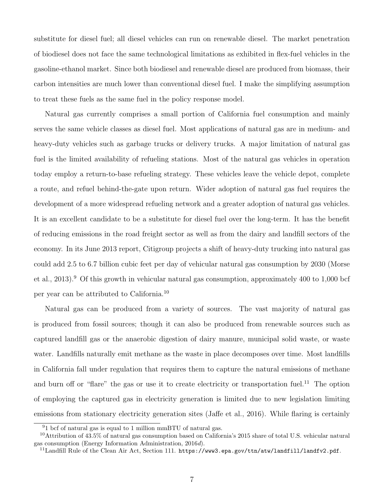substitute for diesel fuel; all diesel vehicles can run on renewable diesel. The market penetration of biodiesel does not face the same technological limitations as exhibited in flex-fuel vehicles in the gasoline-ethanol market. Since both biodiesel and renewable diesel are produced from biomass, their carbon intensities are much lower than conventional diesel fuel. I make the simplifying assumption to treat these fuels as the same fuel in the policy response model.

Natural gas currently comprises a small portion of California fuel consumption and mainly serves the same vehicle classes as diesel fuel. Most applications of natural gas are in medium- and heavy-duty vehicles such as garbage trucks or delivery trucks. A major limitation of natural gas fuel is the limited availability of refueling stations. Most of the natural gas vehicles in operation today employ a return-to-base refueling strategy. These vehicles leave the vehicle depot, complete a route, and refuel behind-the-gate upon return. Wider adoption of natural gas fuel requires the development of a more widespread refueling network and a greater adoption of natural gas vehicles. It is an excellent candidate to be a substitute for diesel fuel over the long-term. It has the benefit of reducing emissions in the road freight sector as well as from the dairy and landfill sectors of the economy. In its June 2013 report, Citigroup projects a shift of heavy-duty trucking into natural gas could add 2.5 to 6.7 billion cubic feet per day of vehicular natural gas consumption by 2030 (Morse et al., 2013).<sup>9</sup> Of this growth in vehicular natural gas consumption, approximately 400 to 1,000 bcf per year can be attributed to California.<sup>10</sup>

Natural gas can be produced from a variety of sources. The vast majority of natural gas is produced from fossil sources; though it can also be produced from renewable sources such as captured landfill gas or the anaerobic digestion of dairy manure, municipal solid waste, or waste water. Landfills naturally emit methane as the waste in place decomposes over time. Most landfills in California fall under regulation that requires them to capture the natural emissions of methane and burn off or "flare" the gas or use it to create electricity or transportation fuel.<sup>11</sup> The option of employing the captured gas in electricity generation is limited due to new legislation limiting emissions from stationary electricity generation sites (Jaffe et al., 2016). While flaring is certainly

<sup>9</sup>1 bcf of natural gas is equal to 1 million mmBTU of natural gas.

<sup>&</sup>lt;sup>10</sup>Attribution of 43.5% of natural gas consumption based on California's 2015 share of total U.S. vehicular natural gas consumption (Energy Information Administration, 2016d).

<sup>&</sup>lt;sup>11</sup>Landfill Rule of the Clean Air Act, Section 111. https://www3.epa.gov/ttn/atw/landfill/landfv2.pdf.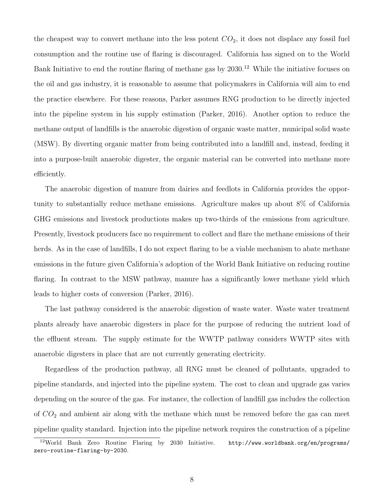the cheapest way to convert methane into the less potent  $CO<sub>2</sub>$ , it does not displace any fossil fuel consumption and the routine use of flaring is discouraged. California has signed on to the World Bank Initiative to end the routine flaring of methane gas by 2030.<sup>12</sup> While the initiative focuses on the oil and gas industry, it is reasonable to assume that policymakers in California will aim to end the practice elsewhere. For these reasons, Parker assumes RNG production to be directly injected into the pipeline system in his supply estimation (Parker, 2016). Another option to reduce the methane output of landfills is the anaerobic digestion of organic waste matter, municipal solid waste (MSW). By diverting organic matter from being contributed into a landfill and, instead, feeding it into a purpose-built anaerobic digester, the organic material can be converted into methane more efficiently.

The anaerobic digestion of manure from dairies and feedlots in California provides the opportunity to substantially reduce methane emissions. Agriculture makes up about 8% of California GHG emissions and livestock productions makes up two-thirds of the emissions from agriculture. Presently, livestock producers face no requirement to collect and flare the methane emissions of their herds. As in the case of landfills, I do not expect flaring to be a viable mechanism to abate methane emissions in the future given California's adoption of the World Bank Initiative on reducing routine flaring. In contrast to the MSW pathway, manure has a significantly lower methane yield which leads to higher costs of conversion (Parker, 2016).

The last pathway considered is the anaerobic digestion of waste water. Waste water treatment plants already have anaerobic digesters in place for the purpose of reducing the nutrient load of the effluent stream. The supply estimate for the WWTP pathway considers WWTP sites with anaerobic digesters in place that are not currently generating electricity.

Regardless of the production pathway, all RNG must be cleaned of pollutants, upgraded to pipeline standards, and injected into the pipeline system. The cost to clean and upgrade gas varies depending on the source of the gas. For instance, the collection of landfill gas includes the collection of  $CO<sub>2</sub>$  and ambient air along with the methane which must be removed before the gas can meet pipeline quality standard. Injection into the pipeline network requires the construction of a pipeline

<sup>12</sup>World Bank Zero Routine Flaring by 2030 Initiative. http://www.worldbank.org/en/programs/ zero-routine-flaring-by-2030.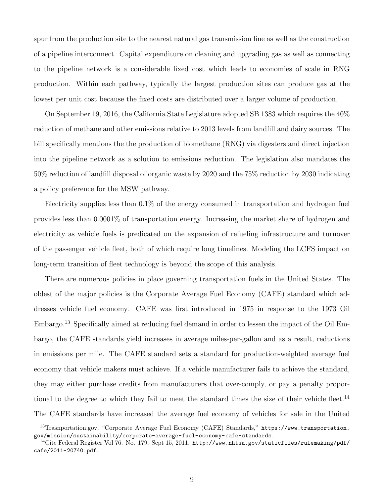spur from the production site to the nearest natural gas transmission line as well as the construction of a pipeline interconnect. Capital expenditure on cleaning and upgrading gas as well as connecting to the pipeline network is a considerable fixed cost which leads to economies of scale in RNG production. Within each pathway, typically the largest production sites can produce gas at the lowest per unit cost because the fixed costs are distributed over a larger volume of production.

On September 19, 2016, the California State Legislature adopted SB 1383 which requires the 40% reduction of methane and other emissions relative to 2013 levels from landfill and dairy sources. The bill specifically mentions the the production of biomethane (RNG) via digesters and direct injection into the pipeline network as a solution to emissions reduction. The legislation also mandates the 50% reduction of landfill disposal of organic waste by 2020 and the 75% reduction by 2030 indicating a policy preference for the MSW pathway.

Electricity supplies less than 0.1% of the energy consumed in transportation and hydrogen fuel provides less than 0.0001% of transportation energy. Increasing the market share of hydrogen and electricity as vehicle fuels is predicated on the expansion of refueling infrastructure and turnover of the passenger vehicle fleet, both of which require long timelines. Modeling the LCFS impact on long-term transition of fleet technology is beyond the scope of this analysis.

There are numerous policies in place governing transportation fuels in the United States. The oldest of the major policies is the Corporate Average Fuel Economy (CAFE) standard which addresses vehicle fuel economy. CAFE was first introduced in 1975 in response to the 1973 Oil Embargo.<sup>13</sup> Specifically aimed at reducing fuel demand in order to lessen the impact of the Oil Embargo, the CAFE standards yield increases in average miles-per-gallon and as a result, reductions in emissions per mile. The CAFE standard sets a standard for production-weighted average fuel economy that vehicle makers must achieve. If a vehicle manufacturer fails to achieve the standard, they may either purchase credits from manufacturers that over-comply, or pay a penalty proportional to the degree to which they fail to meet the standard times the size of their vehicle fleet.<sup>14</sup> The CAFE standards have increased the average fuel economy of vehicles for sale in the United

<sup>13</sup>Trasnportation.gov, "Corporate Average Fuel Economy (CAFE) Standards," https://www.transportation. gov/mission/sustainability/corporate-average-fuel-economy-cafe-standards.

<sup>&</sup>lt;sup>14</sup>Cite Federal Register Vol 76. No. 179. Sept 15, 2011. http://www.nhtsa.gov/staticfiles/rulemaking/pdf/ cafe/2011-20740.pdf.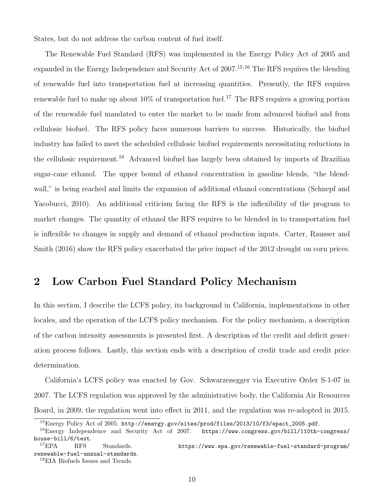States, but do not address the carbon content of fuel itself.

The Renewable Fuel Standard (RFS) was implemented in the Energy Policy Act of 2005 and expanded in the Energy Independence and Security Act of 2007.<sup>15,16</sup> The RFS requires the blending of renewable fuel into transportation fuel at increasing quantities. Presently, the RFS requires renewable fuel to make up about  $10\%$  of transportation fuel.<sup>17</sup> The RFS requires a growing portion of the renewable fuel mandated to enter the market to be made from advanced biofuel and from cellulosic biofuel. The RFS policy faces numerous barriers to success. Historically, the biofuel industry has failed to meet the scheduled cellulosic biofuel requirements necessitating reductions in the cellulosic requirement.<sup>18</sup> Advanced biofuel has largely been obtained by imports of Brazilian sugar-cane ethanol. The upper bound of ethanol concentration in gasoline blends, "the blendwall," is being reached and limits the expansion of additional ethanol concentrations (Schnepf and Yacobucci, 2010). An additional criticism facing the RFS is the inflexibility of the program to market changes. The quantity of ethanol the RFS requires to be blended in to transportation fuel is inflexible to changes in supply and demand of ethanol production inputs. Carter, Rausser and Smith (2016) show the RFS policy exacerbated the price impact of the 2012 drought on corn prices.

# 2 Low Carbon Fuel Standard Policy Mechanism

In this section, I describe the LCFS policy, its background in California, implementations in other locales, and the operation of the LCFS policy mechanism. For the policy mechanism, a description of the carbon intensity assessments is presented first. A description of the credit and deficit generation process follows. Lastly, this section ends with a description of credit trade and credit price determination.

California's LCFS policy was enacted by Gov. Schwarzenegger via Executive Order S-1-07 in 2007. The LCFS regulation was approved by the administrative body, the California Air Resources Board, in 2009, the regulation went into effect in 2011, and the regulation was re-adopted in 2015.

<sup>&</sup>lt;sup>15</sup>Energy Policy Act of 2005. http://energy.gov/sites/prod/files/2013/10/f3/epact\_2005.pdf.

<sup>16</sup>Energy Independence and Security Act of 2007. https://www.congress.gov/bill/110th-congress/ house-bill/6/text.

<sup>&</sup>lt;sup>17</sup>EPA RFS Standards. https://www.epa.gov/renewable-fuel-standard-program/ renewable-fuel-annual-standards.

<sup>18</sup>EIA Biofuels Issues and Trends.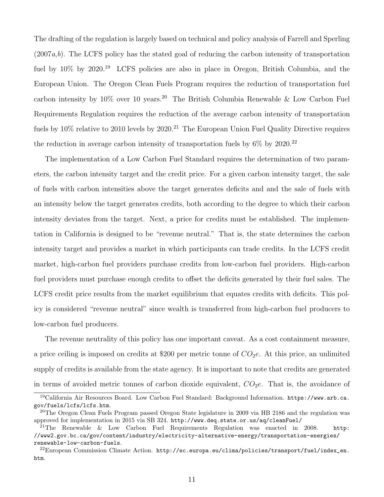The drafting of the regulation is largely based on technical and policy analysis of Farrell and Sperling (2007a,b). The LCFS policy has the stated goal of reducing the carbon intensity of transportation fuel by  $10\%$  by  $2020^{19}$  LCFS policies are also in place in Oregon, British Columbia, and the European Union. The Oregon Clean Fuels Program requires the reduction of transportation fuel carbon intensity by  $10\%$  over 10 years.<sup>20</sup> The British Columbia Renewable & Low Carbon Fuel Requirements Regulation requires the reduction of the average carbon intensity of transportation fuels by  $10\%$  relative to 2010 levels by  $2020$ .<sup>21</sup> The European Union Fuel Quality Directive requires the reduction in average carbon intensity of transportation fuels by  $6\%$  by  $2020.^{22}$ 

The implementation of a Low Carbon Fuel Standard requires the determination of two parameters, the carbon intensity target and the credit price. For a given carbon intensity target, the sale of fuels with carbon intensities above the target generates deficits and and the sale of fuels with an intensity below the target generates credits, both according to the degree to which their carbon intensity deviates from the target. Next, a price for credits must be established. The implementation in California is designed to be "revenue neutral." That is, the state determines the carbon intensity target and provides a market in which participants can trade credits. In the LCFS credit market, high-carbon fuel providers purchase credits from low-carbon fuel providers. High-carbon fuel providers must purchase enough credits to offset the deficits generated by their fuel sales. The LCFS credit price results from the market equilibrium that equates credits with deficits. This policy is considered "revenue neutral" since wealth is transferred from high-carbon fuel producers to low-carbon fuel producers.

The revenue neutrality of this policy has one important caveat. As a cost containment measure, a price ceiling is imposed on credits at \$200 per metric tonne of  $CO<sub>2</sub>e$ . At this price, an unlimited supply of credits is available from the state agency. It is important to note that credits are generated in terms of avoided metric tonnes of carbon dioxide equivalent,  $CO<sub>2</sub>e$ . That is, the avoidance of

<sup>19</sup>California Air Resources Board. Low Carbon Fuel Standard: Background Information. https://www.arb.ca. gov/fuels/lcfs/lcfs.htm.

<sup>&</sup>lt;sup>20</sup>The Oregon Clean Fuels Program passed Oregon State legislature in 2009 via HB 2186 and the regulation was approved for implementation in 2015 via SB 324. http://www.deq.state.or.us/aq/cleanFuel/

<sup>&</sup>lt;sup>21</sup>The Renewable & Low Carbon Fuel Requirements Regulation was enacted in 2008. http: //www2.gov.bc.ca/gov/content/industry/electricity-alternative-energy/transportation-energies/ renewable-low-carbon-fuels.

 $^{22}$ European Commission Climate Action. http://ec.europa.eu/clima/policies/transport/fuel/index\_en. htm.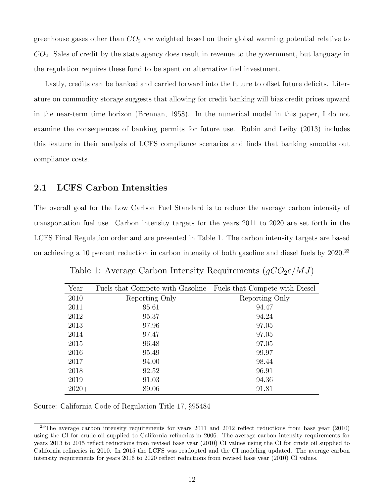greenhouse gases other than  $CO<sub>2</sub>$  are weighted based on their global warming potential relative to  $CO<sub>2</sub>$ . Sales of credit by the state agency does result in revenue to the government, but language in the regulation requires these fund to be spent on alternative fuel investment.

Lastly, credits can be banked and carried forward into the future to offset future deficits. Literature on commodity storage suggests that allowing for credit banking will bias credit prices upward in the near-term time horizon (Brennan, 1958). In the numerical model in this paper, I do not examine the consequences of banking permits for future use. Rubin and Leiby (2013) includes this feature in their analysis of LCFS compliance scenarios and finds that banking smooths out compliance costs.

## 2.1 LCFS Carbon Intensities

The overall goal for the Low Carbon Fuel Standard is to reduce the average carbon intensity of transportation fuel use. Carbon intensity targets for the years 2011 to 2020 are set forth in the LCFS Final Regulation order and are presented in Table 1. The carbon intensity targets are based on achieving a 10 percent reduction in carbon intensity of both gasoline and diesel fuels by 2020.<sup>23</sup>

| Year    | Fuels that Compete with Gasoline Fuels that Compete with Diesel |                |
|---------|-----------------------------------------------------------------|----------------|
| 2010    | Reporting Only                                                  | Reporting Only |
| 2011    | 95.61                                                           | 94.47          |
| 2012    | 95.37                                                           | 94.24          |
| 2013    | 97.96                                                           | 97.05          |
| 2014    | 97.47                                                           | 97.05          |
| 2015    | 96.48                                                           | 97.05          |
| 2016    | 95.49                                                           | 99.97          |
| 2017    | 94.00                                                           | 98.44          |
| 2018    | 92.52                                                           | 96.91          |
| 2019    | 91.03                                                           | 94.36          |
| $2020+$ | 89.06                                                           | 91.81          |

Table 1: Average Carbon Intensity Requirements  $(gCO_2e/MJ)$ 

Source: California Code of Regulation Title 17, §95484

 $^{23}$ The average carbon intensity requirements for years 2011 and 2012 reflect reductions from base year (2010) using the CI for crude oil supplied to California refineries in 2006. The average carbon intensity requirements for years 2013 to 2015 reflect reductions from revised base year (2010) CI values using the CI for crude oil supplied to California refineries in 2010. In 2015 the LCFS was readopted and the CI modeling updated. The average carbon intensity requirements for years 2016 to 2020 reflect reductions from revised base year (2010) CI values.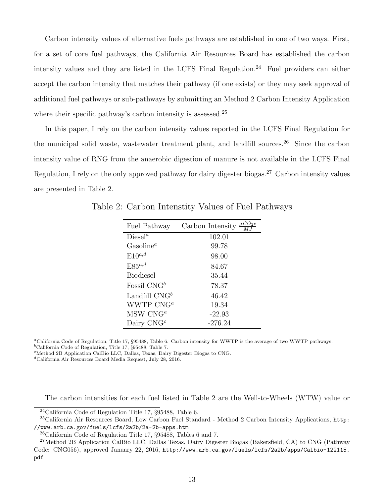Carbon intensity values of alternative fuels pathways are established in one of two ways. First, for a set of core fuel pathways, the California Air Resources Board has established the carbon intensity values and they are listed in the LCFS Final Regulation.<sup>24</sup> Fuel providers can either accept the carbon intensity that matches their pathway (if one exists) or they may seek approval of additional fuel pathways or sub-pathways by submitting an Method 2 Carbon Intensity Application where their specific pathway's carbon intensity is assessed.<sup>25</sup>

In this paper, I rely on the carbon intensity values reported in the LCFS Final Regulation for the municipal solid waste, wastewater treatment plant, and landfill sources.<sup>26</sup> Since the carbon intensity value of RNG from the anaerobic digestion of manure is not available in the LCFS Final Regulation, I rely on the only approved pathway for dairy digester biogas.<sup>27</sup> Carbon intensity values are presented in Table 2.

| Fuel Pathway      | $\underline{g}CO_2e$<br>Carbon Intensity |
|-------------------|------------------------------------------|
| $\text{Diesel}^a$ | 102.01                                   |
| $Gasoline^a$      | 99.78                                    |
| $E10^{a,d}$       | 98.00                                    |
| $E85^{a,d}$       | 84.67                                    |
| <b>Biodiesel</b>  | 35.44                                    |
| Fossil $CNG^b$    | 78.37                                    |
| Landfill $CNG^b$  | 46.42                                    |
| WWTP $CNG^a$      | 19.34                                    |
| $MSW$ CN $G^a$    | $-22.93$                                 |
| Dairy $CNGc$      | $-276.24$                                |

Table 2: Carbon Intenstity Values of Fuel Pathways

<sup>a</sup>California Code of Regulation, Title 17, §95488, Table 6. Carbon intensity for WWTP is the average of two WWTP pathways.  $<sup>b</sup>$ California Code of Regulation, Title 17, §95488, Table 7.</sup>

<sup>c</sup>Method 2B Application CalBio LLC, Dallas, Texas, Dairy Digester Biogas to CNG.

 ${}^d\mathrm{California}$  Air Resources Board Media Request, July 28, 2016.

The carbon intensities for each fuel listed in Table 2 are the Well-to-Wheels (WTW) value or

<sup>24</sup>California Code of Regulation Title 17, §95488, Table 6.

<sup>&</sup>lt;sup>25</sup>California Air Resources Board, Low Carbon Fuel Standard - Method 2 Carbon Intensity Applications, http: //www.arb.ca.gov/fuels/lcfs/2a2b/2a-2b-apps.htm

<sup>26</sup>California Code of Regulation Title 17, §95488, Tables 6 and 7.

<sup>27</sup>Method 2B Application CalBio LLC, Dallas Texas, Dairy Digester Biogas (Bakersfield, CA) to CNG (Pathway Code: CNG056), approved January 22, 2016, http://www.arb.ca.gov/fuels/lcfs/2a2b/apps/Calbio-122115. pdf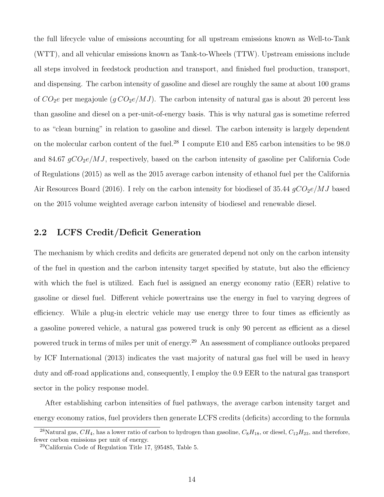the full lifecycle value of emissions accounting for all upstream emissions known as Well-to-Tank (WTT), and all vehicular emissions known as Tank-to-Wheels (TTW). Upstream emissions include all steps involved in feedstock production and transport, and finished fuel production, transport, and dispensing. The carbon intensity of gasoline and diesel are roughly the same at about 100 grams of  $CO_2e$  per megajoule  $(g\,CO_2e/MJ)$ . The carbon intensity of natural gas is about 20 percent less than gasoline and diesel on a per-unit-of-energy basis. This is why natural gas is sometime referred to as "clean burning" in relation to gasoline and diesel. The carbon intensity is largely dependent on the molecular carbon content of the fuel.<sup>28</sup> I compute E10 and E85 carbon intensities to be 98.0 and 84.67  $qCO_2e/MJ$ , respectively, based on the carbon intensity of gasoline per California Code of Regulations (2015) as well as the 2015 average carbon intensity of ethanol fuel per the California Air Resources Board (2016). I rely on the carbon intensity for biodiesel of 35.44  $gCO_2e/MJ$  based on the 2015 volume weighted average carbon intensity of biodiesel and renewable diesel.

## 2.2 LCFS Credit/Deficit Generation

The mechanism by which credits and deficits are generated depend not only on the carbon intensity of the fuel in question and the carbon intensity target specified by statute, but also the efficiency with which the fuel is utilized. Each fuel is assigned an energy economy ratio (EER) relative to gasoline or diesel fuel. Different vehicle powertrains use the energy in fuel to varying degrees of efficiency. While a plug-in electric vehicle may use energy three to four times as efficiently as a gasoline powered vehicle, a natural gas powered truck is only 90 percent as efficient as a diesel powered truck in terms of miles per unit of energy.<sup>29</sup> An assessment of compliance outlooks prepared by ICF International (2013) indicates the vast majority of natural gas fuel will be used in heavy duty and off-road applications and, consequently, I employ the 0.9 EER to the natural gas transport sector in the policy response model.

After establishing carbon intensities of fuel pathways, the average carbon intensity target and energy economy ratios, fuel providers then generate LCFS credits (deficits) according to the formula

<sup>&</sup>lt;sup>28</sup>Natural gas,  $CH_4$ , has a lower ratio of carbon to hydrogen than gasoline,  $C_8H_{18}$ , or diesel,  $C_{12}H_{23}$ , and therefore, fewer carbon emissions per unit of energy.

<sup>29</sup>California Code of Regulation Title 17, §95485, Table 5.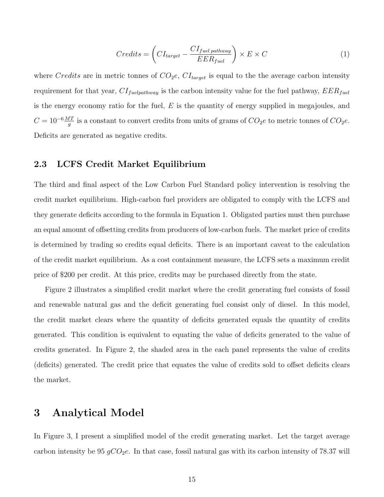$$
Credits = \left(CI_{target} - \frac{CI_{fuel\,\,pathway}}{EER_{fuel}}\right) \times E \times C \tag{1}
$$

where Credits are in metric tonnes of  $CO<sub>2</sub>e$ ,  $CI<sub>target</sub>$  is equal to the the average carbon intensity requirement for that year,  $CI_{fuelpathway}$  is the carbon intensity value for the fuel pathway,  $EER_{fuel}$ is the energy economy ratio for the fuel,  $E$  is the quantity of energy supplied in megajoules, and  $C = 10^{-6} \frac{MT}{g}$  is a constant to convert credits from units of grams of  $CO_2e$  to metric tonnes of  $CO_2e$ . Deficits are generated as negative credits.

## 2.3 LCFS Credit Market Equilibrium

The third and final aspect of the Low Carbon Fuel Standard policy intervention is resolving the credit market equilibrium. High-carbon fuel providers are obligated to comply with the LCFS and they generate deficits according to the formula in Equation 1. Obligated parties must then purchase an equal amount of offsetting credits from producers of low-carbon fuels. The market price of credits is determined by trading so credits equal deficits. There is an important caveat to the calculation of the credit market equilibrium. As a cost containment measure, the LCFS sets a maximum credit price of \$200 per credit. At this price, credits may be purchased directly from the state.

Figure 2 illustrates a simplified credit market where the credit generating fuel consists of fossil and renewable natural gas and the deficit generating fuel consist only of diesel. In this model, the credit market clears where the quantity of deficits generated equals the quantity of credits generated. This condition is equivalent to equating the value of deficits generated to the value of credits generated. In Figure 2, the shaded area in the each panel represents the value of credits (deficits) generated. The credit price that equates the value of credits sold to offset deficits clears the market.

## 3 Analytical Model

In Figure 3, I present a simplified model of the credit generating market. Let the target average carbon intensity be 95  $gCO_2e$ . In that case, fossil natural gas with its carbon intensity of 78.37 will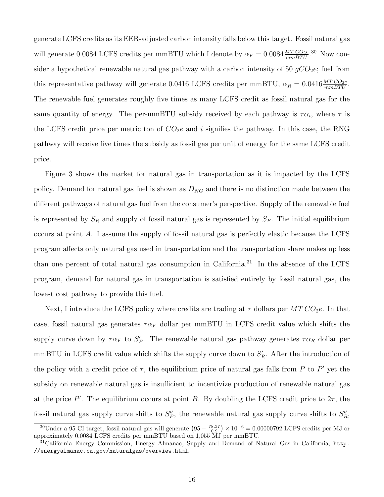generate LCFS credits as its EER-adjusted carbon intensity falls below this target. Fossil natural gas will generate 0.0084 LCFS credits per mmBTU which I denote by  $\alpha_F = 0.0084 \frac{MT\,CO_2e}{mm\,STU}$ .<sup>30</sup> Now consider a hypothetical renewable natural gas pathway with a carbon intensity of 50  $gCO<sub>2</sub>e$ ; fuel from this representative pathway will generate 0.0416 LCFS credits per mmBTU,  $\alpha_R = 0.0416 \frac{MT\,CO_2e}{mm\,STU}$ . The renewable fuel generates roughly five times as many LCFS credit as fossil natural gas for the same quantity of energy. The per-mmBTU subsidy received by each pathway is  $\tau \alpha_i$ , where  $\tau$  is the LCFS credit price per metric ton of  $CO<sub>2</sub>e$  and i signifies the pathway. In this case, the RNG pathway will receive five times the subsidy as fossil gas per unit of energy for the same LCFS credit price.

Figure 3 shows the market for natural gas in transportation as it is impacted by the LCFS policy. Demand for natural gas fuel is shown as  $D_{NG}$  and there is no distinction made between the different pathways of natural gas fuel from the consumer's perspective. Supply of the renewable fuel is represented by  $S_R$  and supply of fossil natural gas is represented by  $S_F$ . The initial equilibrium occurs at point A. I assume the supply of fossil natural gas is perfectly elastic because the LCFS program affects only natural gas used in transportation and the transportation share makes up less than one percent of total natural gas consumption in California.<sup>31</sup> In the absence of the LCFS program, demand for natural gas in transportation is satisfied entirely by fossil natural gas, the lowest cost pathway to provide this fuel.

Next, I introduce the LCFS policy where credits are trading at  $\tau$  dollars per  $MTCO<sub>2</sub>e$ . In that case, fossil natural gas generates  $\tau \alpha_F$  dollar per mmBTU in LCFS credit value which shifts the supply curve down by  $\tau \alpha_F$  to  $S'_F$ . The renewable natural gas pathway generates  $\tau \alpha_R$  dollar per mmBTU in LCFS credit value which shifts the supply curve down to  $S'_R$ . After the introduction of the policy with a credit price of  $\tau$ , the equilibrium price of natural gas falls from P to P' yet the subsidy on renewable natural gas is insufficient to incentivize production of renewable natural gas at the price  $P'$ . The equilibrium occurs at point B. By doubling the LCFS credit price to  $2\tau$ , the fossil natural gas supply curve shifts to  $S_F''$ , the renewable natural gas supply curve shifts to  $S_R''$ ,

<sup>&</sup>lt;sup>30</sup>Under a 95 CI target, fossil natural gas will generate  $(95 - \frac{78.37}{0.9}) \times 10^{-6} = 0.00000792$  LCFS credits per MJ or approximately 0.0084 LCFS credits per mmBTU based on 1,055 MJ per mmBTU.

<sup>&</sup>lt;sup>31</sup>California Energy Commission, Energy Almanac, Supply and Demand of Natural Gas in California, http: //energyalmanac.ca.gov/naturalgas/overview.html.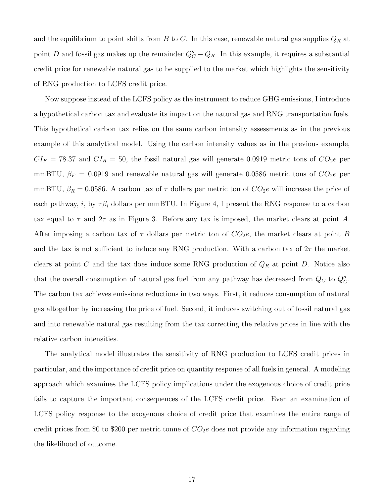and the equilibrium to point shifts from  $B$  to  $C$ . In this case, renewable natural gas supplies  $Q_R$  at point D and fossil gas makes up the remainder  $Q''_C - Q_R$ . In this example, it requires a substantial credit price for renewable natural gas to be supplied to the market which highlights the sensitivity of RNG production to LCFS credit price.

Now suppose instead of the LCFS policy as the instrument to reduce GHG emissions, I introduce a hypothetical carbon tax and evaluate its impact on the natural gas and RNG transportation fuels. This hypothetical carbon tax relies on the same carbon intensity assessments as in the previous example of this analytical model. Using the carbon intensity values as in the previous example,  $CI_F = 78.37$  and  $CI_R = 50$ , the fossil natural gas will generate 0.0919 metric tons of  $CO_2e$  per mmBTU,  $\beta_F = 0.0919$  and renewable natural gas will generate 0.0586 metric tons of  $CO_2e$  per mmBTU,  $\beta_R = 0.0586$ . A carbon tax of  $\tau$  dollars per metric ton of  $CO_2e$  will increase the price of each pathway, i, by  $\tau \beta_i$  dollars per mmBTU. In Figure 4, I present the RNG response to a carbon tax equal to  $\tau$  and  $2\tau$  as in Figure 3. Before any tax is imposed, the market clears at point A. After imposing a carbon tax of  $\tau$  dollars per metric ton of  $CO<sub>2</sub>e$ , the market clears at point B and the tax is not sufficient to induce any RNG production. With a carbon tax of  $2\tau$  the market clears at point C and the tax does induce some RNG production of  $Q_R$  at point D. Notice also that the overall consumption of natural gas fuel from any pathway has decreased from  $Q_C$  to  $Q_C''$ . The carbon tax achieves emissions reductions in two ways. First, it reduces consumption of natural gas altogether by increasing the price of fuel. Second, it induces switching out of fossil natural gas and into renewable natural gas resulting from the tax correcting the relative prices in line with the relative carbon intensities.

The analytical model illustrates the sensitivity of RNG production to LCFS credit prices in particular, and the importance of credit price on quantity response of all fuels in general. A modeling approach which examines the LCFS policy implications under the exogenous choice of credit price fails to capture the important consequences of the LCFS credit price. Even an examination of LCFS policy response to the exogenous choice of credit price that examines the entire range of credit prices from \$0 to \$200 per metric tonne of  $CO<sub>2</sub>e$  does not provide any information regarding the likelihood of outcome.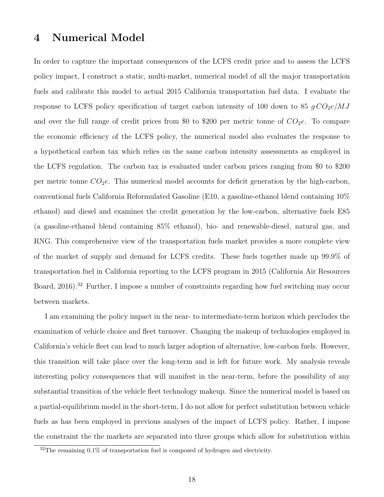## 4 Numerical Model

In order to capture the important consequences of the LCFS credit price and to assess the LCFS policy impact, I construct a static, multi-market, numerical model of all the major transportation fuels and calibrate this model to actual 2015 California transportation fuel data. I evaluate the response to LCFS policy specification of target carbon intensity of 100 down to 85  $g \, CO_2e/MJ$ and over the full range of credit prices from \$0 to \$200 per metric tonne of  $CO<sub>2</sub>e$ . To compare the economic efficiency of the LCFS policy, the numerical model also evaluates the response to a hypothetical carbon tax which relies on the same carbon intensity assessments as employed in the LCFS regulation. The carbon tax is evaluated under carbon prices ranging from \$0 to \$200 per metric tonne  $CO<sub>2</sub>e$ . This numerical model accounts for deficit generation by the high-carbon, conventional fuels California Reformulated Gasoline (E10, a gasoline-ethanol blend containing 10% ethanol) and diesel and examines the credit generation by the low-carbon, alternative fuels E85 (a gasoline-ethanol blend containing 85% ethanol), bio- and renewable-diesel, natural gas, and RNG. This comprehensive view of the transportation fuels market provides a more complete view of the market of supply and demand for LCFS credits. These fuels together made up 99.9% of transportation fuel in California reporting to the LCFS program in 2015 (California Air Resources Board, 2016).<sup>32</sup> Further, I impose a number of constraints regarding how fuel switching may occur between markets.

I am examining the policy impact in the near- to intermediate-term horizon which precludes the examination of vehicle choice and fleet turnover. Changing the makeup of technologies employed in California's vehicle fleet can lead to much larger adoption of alternative, low-carbon fuels. However, this transition will take place over the long-term and is left for future work. My analysis reveals interesting policy consequences that will manifest in the near-term, before the possibility of any substantial transition of the vehicle fleet technology makeup. Since the numerical model is based on a partial-equilibrium model in the short-term, I do not allow for perfect substitution between vehicle fuels as has been employed in previous analyses of the impact of LCFS policy. Rather, I impose the constraint the the markets are separated into three groups which allow for substitution within

<sup>&</sup>lt;sup>32</sup>The remaining 0.1% of transportation fuel is composed of hydrogen and electricity.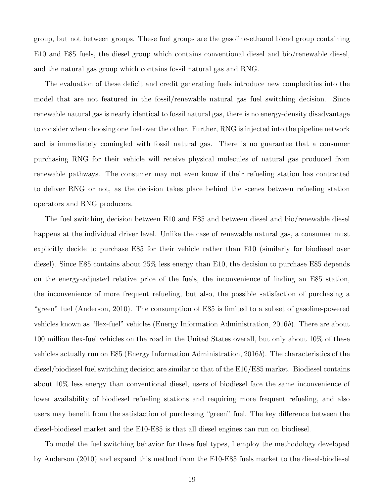group, but not between groups. These fuel groups are the gasoline-ethanol blend group containing E10 and E85 fuels, the diesel group which contains conventional diesel and bio/renewable diesel, and the natural gas group which contains fossil natural gas and RNG.

The evaluation of these deficit and credit generating fuels introduce new complexities into the model that are not featured in the fossil/renewable natural gas fuel switching decision. Since renewable natural gas is nearly identical to fossil natural gas, there is no energy-density disadvantage to consider when choosing one fuel over the other. Further, RNG is injected into the pipeline network and is immediately comingled with fossil natural gas. There is no guarantee that a consumer purchasing RNG for their vehicle will receive physical molecules of natural gas produced from renewable pathways. The consumer may not even know if their refueling station has contracted to deliver RNG or not, as the decision takes place behind the scenes between refueling station operators and RNG producers.

The fuel switching decision between E10 and E85 and between diesel and bio/renewable diesel happens at the individual driver level. Unlike the case of renewable natural gas, a consumer must explicitly decide to purchase E85 for their vehicle rather than E10 (similarly for biodiesel over diesel). Since E85 contains about 25% less energy than E10, the decision to purchase E85 depends on the energy-adjusted relative price of the fuels, the inconvenience of finding an E85 station, the inconvenience of more frequent refueling, but also, the possible satisfaction of purchasing a "green" fuel (Anderson, 2010). The consumption of E85 is limited to a subset of gasoline-powered vehicles known as "flex-fuel" vehicles (Energy Information Administration, 2016b). There are about 100 million flex-fuel vehicles on the road in the United States overall, but only about 10% of these vehicles actually run on E85 (Energy Information Administration, 2016b). The characteristics of the diesel/biodiesel fuel switching decision are similar to that of the E10/E85 market. Biodiesel contains about 10% less energy than conventional diesel, users of biodiesel face the same inconvenience of lower availability of biodiesel refueling stations and requiring more frequent refueling, and also users may benefit from the satisfaction of purchasing "green" fuel. The key difference between the diesel-biodiesel market and the E10-E85 is that all diesel engines can run on biodiesel.

To model the fuel switching behavior for these fuel types, I employ the methodology developed by Anderson (2010) and expand this method from the E10-E85 fuels market to the diesel-biodiesel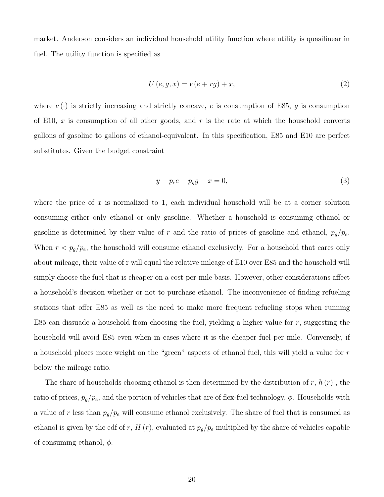market. Anderson considers an individual household utility function where utility is quasilinear in fuel. The utility function is specified as

$$
U(e, g, x) = v(e + rg) + x,\tag{2}
$$

where  $v(\cdot)$  is strictly increasing and strictly concave, e is consumption of E85, g is consumption of E10, x is consumption of all other goods, and r is the rate at which the household converts gallons of gasoline to gallons of ethanol-equivalent. In this specification, E85 and E10 are perfect substitutes. Given the budget constraint

$$
y - p_e e - p_g g - x = 0,\t\t(3)
$$

where the price of x is normalized to 1, each individual household will be at a corner solution consuming either only ethanol or only gasoline. Whether a household is consuming ethanol or gasoline is determined by their value of r and the ratio of prices of gasoline and ethanol,  $p_g/p_e$ . When  $r < p_g/p_e$ , the household will consume ethanol exclusively. For a household that cares only about mileage, their value of r will equal the relative mileage of E10 over E85 and the household will simply choose the fuel that is cheaper on a cost-per-mile basis. However, other considerations affect a household's decision whether or not to purchase ethanol. The inconvenience of finding refueling stations that offer E85 as well as the need to make more frequent refueling stops when running E85 can dissuade a household from choosing the fuel, yielding a higher value for  $r$ , suggesting the household will avoid E85 even when in cases where it is the cheaper fuel per mile. Conversely, if a household places more weight on the "green" aspects of ethanol fuel, this will yield a value for r below the mileage ratio.

The share of households choosing ethanol is then determined by the distribution of  $r, h(r)$ , the ratio of prices,  $p_g/p_e$ , and the portion of vehicles that are of flex-fuel technology,  $\phi$ . Households with a value of r less than  $p_g/p_e$  will consume ethanol exclusively. The share of fuel that is consumed as ethanol is given by the cdf of r,  $H(r)$ , evaluated at  $p_g/p_e$  multiplied by the share of vehicles capable of consuming ethanol,  $\phi$ .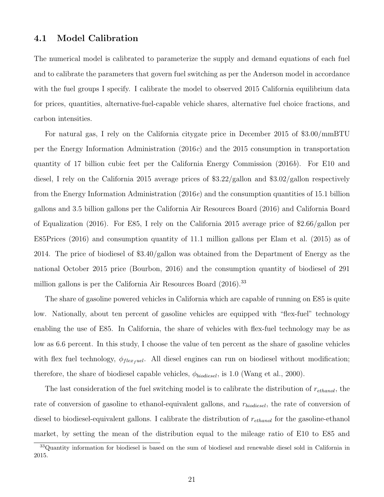#### 4.1 Model Calibration

The numerical model is calibrated to parameterize the supply and demand equations of each fuel and to calibrate the parameters that govern fuel switching as per the Anderson model in accordance with the fuel groups I specify. I calibrate the model to observed 2015 California equilibrium data for prices, quantities, alternative-fuel-capable vehicle shares, alternative fuel choice fractions, and carbon intensities.

For natural gas, I rely on the California citygate price in December 2015 of \$3.00/mmBTU per the Energy Information Administration (2016c) and the 2015 consumption in transportation quantity of 17 billion cubic feet per the California Energy Commission  $(2016b)$ . For E10 and diesel, I rely on the California 2015 average prices of \$3.22/gallon and \$3.02/gallon respectively from the Energy Information Administration  $(2016e)$  and the consumption quantities of 15.1 billion gallons and 3.5 billion gallons per the California Air Resources Board (2016) and California Board of Equalization (2016). For E85, I rely on the California 2015 average price of \$2.66/gallon per E85Prices (2016) and consumption quantity of 11.1 million gallons per Elam et al. (2015) as of 2014. The price of biodiesel of \$3.40/gallon was obtained from the Department of Energy as the national October 2015 price (Bourbon, 2016) and the consumption quantity of biodiesel of 291 million gallons is per the California Air Resources Board (2016).<sup>33</sup>

The share of gasoline powered vehicles in California which are capable of running on E85 is quite low. Nationally, about ten percent of gasoline vehicles are equipped with "flex-fuel" technology enabling the use of E85. In California, the share of vehicles with flex-fuel technology may be as low as 6.6 percent. In this study, I choose the value of ten percent as the share of gasoline vehicles with flex fuel technology,  $\phi_{flex, well}$ . All diesel engines can run on biodiesel without modification; therefore, the share of biodiesel capable vehicles,  $\phi_{biodesel}$ , is 1.0 (Wang et al., 2000).

The last consideration of the fuel switching model is to calibrate the distribution of  $r_{ethanol}$ , the rate of conversion of gasoline to ethanol-equivalent gallons, and  $r_{biodesel}$ , the rate of conversion of diesel to biodiesel-equivalent gallons. I calibrate the distribution of  $r_{ethanol}$  for the gasoline-ethanol market, by setting the mean of the distribution equal to the mileage ratio of E10 to E85 and

<sup>33</sup>Quantity information for biodiesel is based on the sum of biodiesel and renewable diesel sold in California in 2015.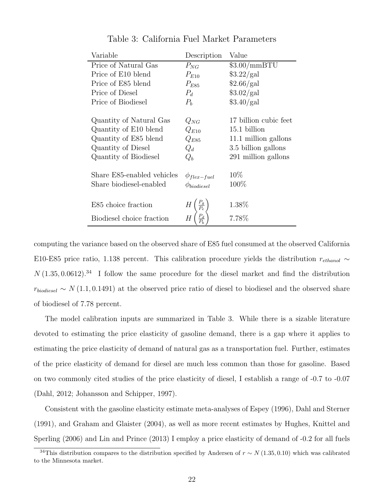| Variable                   | Description            | Value                 |
|----------------------------|------------------------|-----------------------|
| Price of Natural Gas       | $P_{NG}$               | $$3.00/mm$ BTU        |
| Price of E10 blend         | $P_{E10}$              | \$3.22/gal            |
| Price of E85 blend         | $P_{E85}$              | \$2.66/gal            |
| Price of Diesel            | $P_d$                  | \$3.02/gal            |
| Price of Biodiesel         | $P_b$                  | \$3.40/gal            |
| Quantity of Natural Gas    | $Q_{NG}$               | 17 billion cubic feet |
| Quantity of E10 blend      | $Q_{E10}$              | 15.1 billion          |
| Quantity of E85 blend      | $Q_{E85}$              | 11.1 million gallons  |
| Quantity of Diesel         | $Q_d$                  | 3.5 billion gallons   |
| Quantity of Biodiesel      | $Q_b$                  | 291 million gallons   |
| Share E85-enabled vehicles | $\phi_{flex-fuel}$     | 10\%                  |
| Share biodiesel-enabled    | $\phi_{biodiesel}$     | $100\%$               |
| E85 choice fraction        |                        | 1.38%                 |
|                            |                        |                       |
| Biodiesel choice fraction  | $\frac{P_d}{P_b}$<br>Н | 7.78%                 |

Table 3: California Fuel Market Parameters

computing the variance based on the observed share of E85 fuel consumed at the observed California E10-E85 price ratio, 1.138 percent. This calibration procedure yields the distribution  $r_{ethanol} \sim$  $N(1.35, 0.0612).$ <sup>34</sup> I follow the same procedure for the diesel market and find the distribution  $r_{biodiesel} \sim N(1.1, 0.1491)$  at the observed price ratio of diesel to biodiesel and the observed share of biodiesel of 7.78 percent.

The model calibration inputs are summarized in Table 3. While there is a sizable literature devoted to estimating the price elasticity of gasoline demand, there is a gap where it applies to estimating the price elasticity of demand of natural gas as a transportation fuel. Further, estimates of the price elasticity of demand for diesel are much less common than those for gasoline. Based on two commonly cited studies of the price elasticity of diesel, I establish a range of -0.7 to -0.07 (Dahl, 2012; Johansson and Schipper, 1997).

Consistent with the gasoline elasticity estimate meta-analyses of Espey (1996), Dahl and Sterner (1991), and Graham and Glaister (2004), as well as more recent estimates by Hughes, Knittel and Sperling (2006) and Lin and Prince (2013) I employ a price elasticity of demand of -0.2 for all fuels

<sup>&</sup>lt;sup>34</sup>This distribution compares to the distribution specified by Andersen of  $r \sim N(1.35, 0.10)$  which was calibrated to the Minnesota market.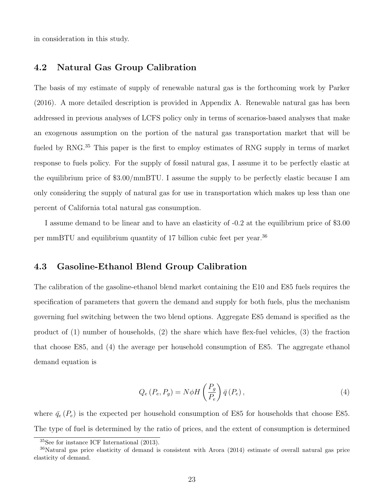in consideration in this study.

#### 4.2 Natural Gas Group Calibration

The basis of my estimate of supply of renewable natural gas is the forthcoming work by Parker (2016). A more detailed description is provided in Appendix A. Renewable natural gas has been addressed in previous analyses of LCFS policy only in terms of scenarios-based analyses that make an exogenous assumption on the portion of the natural gas transportation market that will be fueled by RNG.<sup>35</sup> This paper is the first to employ estimates of RNG supply in terms of market response to fuels policy. For the supply of fossil natural gas, I assume it to be perfectly elastic at the equilibrium price of \$3.00/mmBTU. I assume the supply to be perfectly elastic because I am only considering the supply of natural gas for use in transportation which makes up less than one percent of California total natural gas consumption.

I assume demand to be linear and to have an elasticity of -0.2 at the equilibrium price of \$3.00 per mmBTU and equilibrium quantity of 17 billion cubic feet per year.<sup>36</sup>

## 4.3 Gasoline-Ethanol Blend Group Calibration

The calibration of the gasoline-ethanol blend market containing the E10 and E85 fuels requires the specification of parameters that govern the demand and supply for both fuels, plus the mechanism governing fuel switching between the two blend options. Aggregate E85 demand is specified as the product of (1) number of households, (2) the share which have flex-fuel vehicles, (3) the fraction that choose E85, and (4) the average per household consumption of E85. The aggregate ethanol demand equation is

$$
Q_e(P_e, P_g) = N\phi H\left(\frac{P_g}{P_e}\right)\bar{q}(P_e),\tag{4}
$$

where  $\bar{q}_{e}(P_{e})$  is the expected per household consumption of E85 for households that choose E85. The type of fuel is determined by the ratio of prices, and the extent of consumption is determined

<sup>35</sup>See for instance ICF International (2013).

<sup>36</sup>Natural gas price elasticity of demand is consistent with Arora (2014) estimate of overall natural gas price elasticity of demand.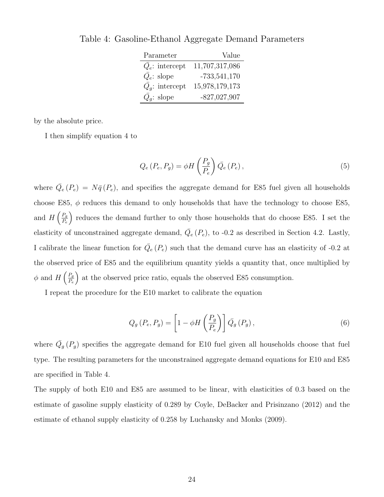| Parameter                    | Value          |
|------------------------------|----------------|
| $\overline{Q}_e$ : intercept | 11,707,317,086 |
| $\overline{Q}_e$ : slope     | $-733,541,170$ |
| $Q_q$ : intercept            | 15,978,179,173 |
| $Q_q$ : slope                | $-827,027,907$ |

Table 4: Gasoline-Ethanol Aggregate Demand Parameters

by the absolute price.

I then simplify equation 4 to

$$
Q_e(P_e, P_g) = \phi H\left(\frac{P_g}{P_e}\right) \bar{Q_e}(P_e),\tag{5}
$$

where  $\overline{Q}_e(P_e) = N\overline{q}(P_e)$ , and specifies the aggregate demand for E85 fuel given all households choose E85,  $\phi$  reduces this demand to only households that have the technology to choose E85, and  $H\left(\frac{P_g}{P}\right)$ Pe reduces the demand further to only those households that do choose E85. I set the elasticity of unconstrained aggregate demand,  $\overline{Q}_e(P_e)$ , to -0.2 as described in Section 4.2. Lastly, I calibrate the linear function for  $\overline{Q}_{e}(P_{e})$  such that the demand curve has an elasticity of -0.2 at the observed price of E85 and the equilibrium quantity yields a quantity that, once multiplied by  $\phi$  and  $H\left(\frac{P_g}{P}\right)$ Pe at the observed price ratio, equals the observed E85 consumption.

I repeat the procedure for the E10 market to calibrate the equation

$$
Q_g(P_e, P_g) = \left[1 - \phi H\left(\frac{P_g}{P_e}\right)\right] \bar{Q}_g(P_g),\tag{6}
$$

where  $\overline{Q}_g(P_g)$  specifies the aggregate demand for E10 fuel given all households choose that fuel type. The resulting parameters for the unconstrained aggregate demand equations for E10 and E85 are specified in Table 4.

The supply of both E10 and E85 are assumed to be linear, with elasticities of 0.3 based on the estimate of gasoline supply elasticity of 0.289 by Coyle, DeBacker and Prisinzano (2012) and the estimate of ethanol supply elasticity of 0.258 by Luchansky and Monks (2009).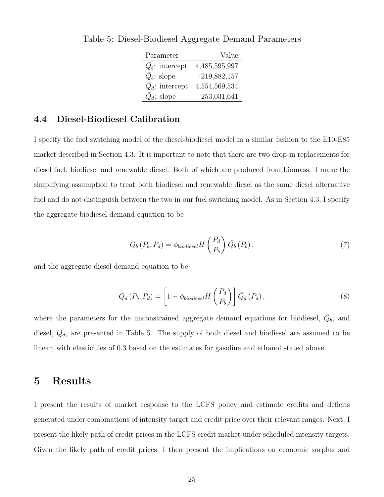| Parameter                | Value          |
|--------------------------|----------------|
| $Q_b$ : intercept        | 4,485,595,997  |
| $\overline{Q}_b$ : slope | $-219,882,157$ |
| $Q_d$ : intercept        | 4,554,569,534  |
| $\overline{Q}_d$ : slope | 253,031,641    |

Table 5: Diesel-Biodiesel Aggregate Demand Parameters

## 4.4 Diesel-Biodiesel Calibration

I specify the fuel switching model of the diesel-biodiesel model in a similar fashion to the E10-E85 market described in Section 4.3. It is important to note that there are two drop-in replacements for diesel fuel, biodiesel and renewable diesel. Both of which are produced from biomass. I make the simplifying assumption to treat both biodiesel and renewable diesel as the same diesel alternative fuel and do not distinguish between the two in our fuel switching model. As in Section 4.3, I specify the aggregate biodiesel demand equation to be

$$
Q_b(P_b, P_d) = \phi_{biodiesel} H\left(\frac{P_d}{P_b}\right) \bar{Q}_b(P_b), \qquad (7)
$$

and the aggregate diesel demand equation to be

$$
Q_d(P_b, P_d) = \left[1 - \phi_{biodiesel} H\left(\frac{P_d}{P_b}\right)\right] \bar{Q}_d(P_d), \qquad (8)
$$

where the parameters for the unconstrained aggregate demand equations for biodiesel,  $\overline{Q}_b$ , and diesel,  $\bar{Q}_d$ , are presented in Table 5. The supply of both diesel and biodiesel are assumed to be linear, with elasticities of 0.3 based on the estimates for gasoline and ethanol stated above.

# 5 Results

I present the results of market response to the LCFS policy and estimate credits and deficits generated under combinations of intensity target and credit price over their relevant ranges. Next, I present the likely path of credit prices in the LCFS credit market under scheduled intensity targets. Given the likely path of credit prices, I then present the implications on economic surplus and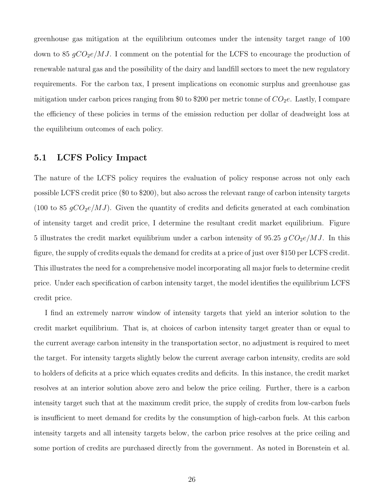greenhouse gas mitigation at the equilibrium outcomes under the intensity target range of 100 down to 85  $gCO_2e/MJ$ . I comment on the potential for the LCFS to encourage the production of renewable natural gas and the possibility of the dairy and landfill sectors to meet the new regulatory requirements. For the carbon tax, I present implications on economic surplus and greenhouse gas mitigation under carbon prices ranging from \$0 to \$200 per metric tonne of  $CO<sub>2</sub>e$ . Lastly, I compare the efficiency of these policies in terms of the emission reduction per dollar of deadweight loss at the equilibrium outcomes of each policy.

#### 5.1 LCFS Policy Impact

The nature of the LCFS policy requires the evaluation of policy response across not only each possible LCFS credit price (\$0 to \$200), but also across the relevant range of carbon intensity targets (100 to 85  $gCO_2e/MJ$ ). Given the quantity of credits and deficits generated at each combination of intensity target and credit price, I determine the resultant credit market equilibrium. Figure 5 illustrates the credit market equilibrium under a carbon intensity of 95.25  $g \mathcal{CO}_2e/MJ$ . In this figure, the supply of credits equals the demand for credits at a price of just over \$150 per LCFS credit. This illustrates the need for a comprehensive model incorporating all major fuels to determine credit price. Under each specification of carbon intensity target, the model identifies the equilibrium LCFS credit price.

I find an extremely narrow window of intensity targets that yield an interior solution to the credit market equilibrium. That is, at choices of carbon intensity target greater than or equal to the current average carbon intensity in the transportation sector, no adjustment is required to meet the target. For intensity targets slightly below the current average carbon intensity, credits are sold to holders of deficits at a price which equates credits and deficits. In this instance, the credit market resolves at an interior solution above zero and below the price ceiling. Further, there is a carbon intensity target such that at the maximum credit price, the supply of credits from low-carbon fuels is insufficient to meet demand for credits by the consumption of high-carbon fuels. At this carbon intensity targets and all intensity targets below, the carbon price resolves at the price ceiling and some portion of credits are purchased directly from the government. As noted in Borenstein et al.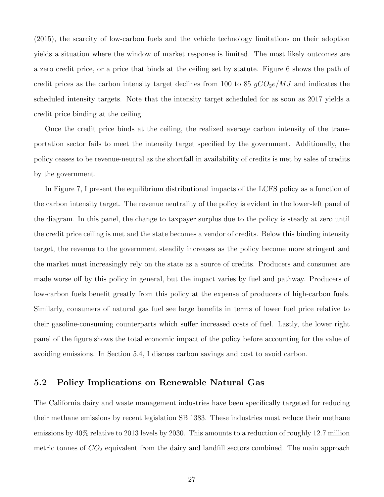(2015), the scarcity of low-carbon fuels and the vehicle technology limitations on their adoption yields a situation where the window of market response is limited. The most likely outcomes are a zero credit price, or a price that binds at the ceiling set by statute. Figure 6 shows the path of credit prices as the carbon intensity target declines from 100 to 85  $qCO_2e/MJ$  and indicates the scheduled intensity targets. Note that the intensity target scheduled for as soon as 2017 yields a credit price binding at the ceiling.

Once the credit price binds at the ceiling, the realized average carbon intensity of the transportation sector fails to meet the intensity target specified by the government. Additionally, the policy ceases to be revenue-neutral as the shortfall in availability of credits is met by sales of credits by the government.

In Figure 7, I present the equilibrium distributional impacts of the LCFS policy as a function of the carbon intensity target. The revenue neutrality of the policy is evident in the lower-left panel of the diagram. In this panel, the change to taxpayer surplus due to the policy is steady at zero until the credit price ceiling is met and the state becomes a vendor of credits. Below this binding intensity target, the revenue to the government steadily increases as the policy become more stringent and the market must increasingly rely on the state as a source of credits. Producers and consumer are made worse off by this policy in general, but the impact varies by fuel and pathway. Producers of low-carbon fuels benefit greatly from this policy at the expense of producers of high-carbon fuels. Similarly, consumers of natural gas fuel see large benefits in terms of lower fuel price relative to their gasoline-consuming counterparts which suffer increased costs of fuel. Lastly, the lower right panel of the figure shows the total economic impact of the policy before accounting for the value of avoiding emissions. In Section 5.4, I discuss carbon savings and cost to avoid carbon.

## 5.2 Policy Implications on Renewable Natural Gas

The California dairy and waste management industries have been specifically targeted for reducing their methane emissions by recent legislation SB 1383. These industries must reduce their methane emissions by 40% relative to 2013 levels by 2030. This amounts to a reduction of roughly 12.7 million metric tonnes of  $CO<sub>2</sub>$  equivalent from the dairy and landfill sectors combined. The main approach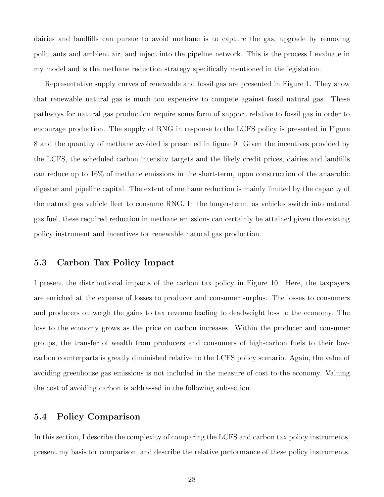dairies and landfills can pursue to avoid methane is to capture the gas, upgrade by removing pollutants and ambient air, and inject into the pipeline network. This is the process I evaluate in my model and is the methane reduction strategy specifically mentioned in the legislation.

Representative supply curves of renewable and fossil gas are presented in Figure 1. They show that renewable natural gas is much too expensive to compete against fossil natural gas. These pathways for natural gas production require some form of support relative to fossil gas in order to encourage production. The supply of RNG in response to the LCFS policy is presented in Figure 8 and the quantity of methane avoided is presented in figure 9. Given the incentives provided by the LCFS, the scheduled carbon intensity targets and the likely credit prices, dairies and landfills can reduce up to 16% of methane emissions in the short-term, upon construction of the anaerobic digester and pipeline capital. The extent of methane reduction is mainly limited by the capacity of the natural gas vehicle fleet to consume RNG. In the longer-term, as vehicles switch into natural gas fuel, these required reduction in methane emissions can certainly be attained given the existing policy instrument and incentives for renewable natural gas production.

## 5.3 Carbon Tax Policy Impact

I present the distributional impacts of the carbon tax policy in Figure 10. Here, the taxpayers are enriched at the expense of losses to producer and consumer surplus. The losses to consumers and producers outweigh the gains to tax revenue leading to deadweight loss to the economy. The loss to the economy grows as the price on carbon increases. Within the producer and consumer groups, the transfer of wealth from producers and consumers of high-carbon fuels to their lowcarbon counterparts is greatly diminished relative to the LCFS policy scenario. Again, the value of avoiding greenhouse gas emissions is not included in the measure of cost to the economy. Valuing the cost of avoiding carbon is addressed in the following subsection.

## 5.4 Policy Comparison

In this section, I describe the complexity of comparing the LCFS and carbon tax policy instruments, present my basis for comparison, and describe the relative performance of these policy instruments.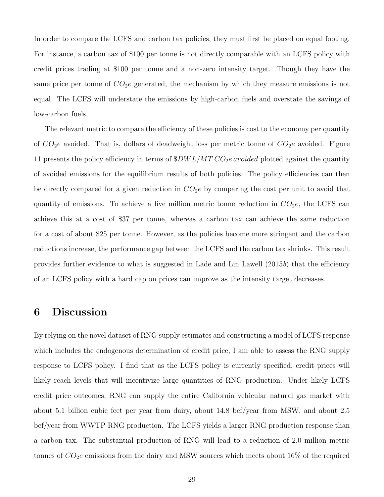In order to compare the LCFS and carbon tax policies, they must first be placed on equal footing. For instance, a carbon tax of \$100 per tonne is not directly comparable with an LCFS policy with credit prices trading at \$100 per tonne and a non-zero intensity target. Though they have the same price per tonne of  $CO<sub>2</sub>e$  generated, the mechanism by which they measure emissions is not equal. The LCFS will understate the emissions by high-carbon fuels and overstate the savings of low-carbon fuels.

The relevant metric to compare the efficiency of these policies is cost to the economy per quantity of  $CO_2e$  avoided. That is, dollars of deadweight loss per metric tonne of  $CO_2e$  avoided. Figure 11 presents the policy efficiency in terms of  $$DWL/MTCO_2e$ avoided plotted against the quantity$ of avoided emissions for the equilibrium results of both policies. The policy efficiencies can then be directly compared for a given reduction in  $CO<sub>2</sub>e$  by comparing the cost per unit to avoid that quantity of emissions. To achieve a five million metric tonne reduction in  $CO<sub>2</sub>e$ , the LCFS can achieve this at a cost of \$37 per tonne, whereas a carbon tax can achieve the same reduction for a cost of about \$25 per tonne. However, as the policies become more stringent and the carbon reductions increase, the performance gap between the LCFS and the carbon tax shrinks. This result provides further evidence to what is suggested in Lade and Lin Lawell (2015b) that the efficiency of an LCFS policy with a hard cap on prices can improve as the intensity target decreases.

# 6 Discussion

By relying on the novel dataset of RNG supply estimates and constructing a model of LCFS response which includes the endogenous determination of credit price, I am able to assess the RNG supply response to LCFS policy. I find that as the LCFS policy is currently specified, credit prices will likely reach levels that will incentivize large quantities of RNG production. Under likely LCFS credit price outcomes, RNG can supply the entire California vehicular natural gas market with about 5.1 billion cubic feet per year from dairy, about 14.8 bcf/year from MSW, and about 2.5 bcf/year from WWTP RNG production. The LCFS yields a larger RNG production response than a carbon tax. The substantial production of RNG will lead to a reduction of 2.0 million metric tonnes of  $CO<sub>2</sub>e$  emissions from the dairy and MSW sources which meets about 16\% of the required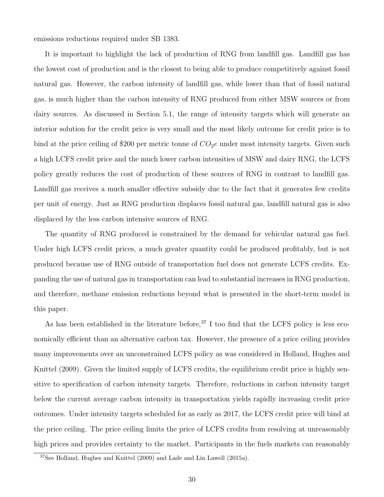emissions reductions required under SB 1383.

It is important to highlight the lack of production of RNG from landfill gas. Landfill gas has the lowest cost of production and is the closest to being able to produce competitively against fossil natural gas. However, the carbon intensity of landfill gas, while lower than that of fossil natural gas, is much higher than the carbon intensity of RNG produced from either MSW sources or from dairy sources. As discussed in Section 5.1, the range of intensity targets which will generate an interior solution for the credit price is very small and the most likely outcome for credit price is to bind at the price ceiling of \$200 per metric tonne of  $CO<sub>2</sub>e$  under most intensity targets. Given such a high LCFS credit price and the much lower carbon intensities of MSW and dairy RNG, the LCFS policy greatly reduces the cost of production of these sources of RNG in contrast to landfill gas. Landfill gas receives a much smaller effective subsidy due to the fact that it generates few credits per unit of energy. Just as RNG production displaces fossil natural gas, landfill natural gas is also displaced by the less carbon intensive sources of RNG.

The quantity of RNG produced is constrained by the demand for vehicular natural gas fuel. Under high LCFS credit prices, a much greater quantity could be produced profitably, but is not produced because use of RNG outside of transportation fuel does not generate LCFS credits. Expanding the use of natural gas in transportation can lead to substantial increases in RNG production, and therefore, methane emission reductions beyond what is presented in the short-term model in this paper.

As has been established in the literature before,  $37$  I too find that the LCFS policy is less economically efficient than an alternative carbon tax. However, the presence of a price ceiling provides many improvements over an unconstrained LCFS policy as was considered in Holland, Hughes and Knittel (2009). Given the limited supply of LCFS credits, the equilibrium credit price is highly sensitive to specification of carbon intensity targets. Therefore, reductions in carbon intensity target below the current average carbon intensity in transportation yields rapidly increasing credit price outcomes. Under intensity targets scheduled for as early as 2017, the LCFS credit price will bind at the price ceiling. The price ceiling limits the price of LCFS credits from resolving at unreasonably high prices and provides certainty to the market. Participants in the fuels markets can reasonably

 $37$ See Holland, Hughes and Knittel (2009) and Lade and Lin Lawell (2015a).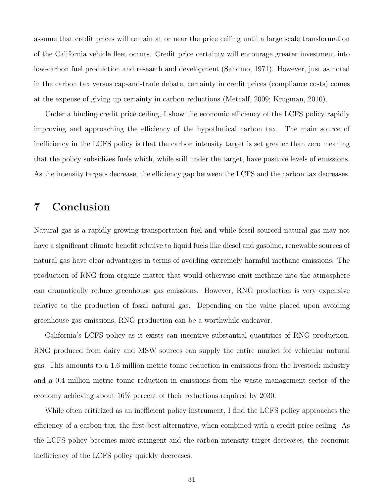assume that credit prices will remain at or near the price ceiling until a large scale transformation of the California vehicle fleet occurs. Credit price certainty will encourage greater investment into low-carbon fuel production and research and development (Sandmo, 1971). However, just as noted in the carbon tax versus cap-and-trade debate, certainty in credit prices (compliance costs) comes at the expense of giving up certainty in carbon reductions (Metcalf, 2009; Krugman, 2010).

Under a binding credit price ceiling, I show the economic efficiency of the LCFS policy rapidly improving and approaching the efficiency of the hypothetical carbon tax. The main source of inefficiency in the LCFS policy is that the carbon intensity target is set greater than zero meaning that the policy subsidizes fuels which, while still under the target, have positive levels of emissions. As the intensity targets decrease, the efficiency gap between the LCFS and the carbon tax decreases.

# 7 Conclusion

Natural gas is a rapidly growing transportation fuel and while fossil sourced natural gas may not have a significant climate benefit relative to liquid fuels like diesel and gasoline, renewable sources of natural gas have clear advantages in terms of avoiding extremely harmful methane emissions. The production of RNG from organic matter that would otherwise emit methane into the atmosphere can dramatically reduce greenhouse gas emissions. However, RNG production is very expensive relative to the production of fossil natural gas. Depending on the value placed upon avoiding greenhouse gas emissions, RNG production can be a worthwhile endeavor.

California's LCFS policy as it exists can incentive substantial quantities of RNG production. RNG produced from dairy and MSW sources can supply the entire market for vehicular natural gas. This amounts to a 1.6 million metric tonne reduction in emissions from the livestock industry and a 0.4 million metric tonne reduction in emissions from the waste management sector of the economy achieving about 16% percent of their reductions required by 2030.

While often criticized as an inefficient policy instrument, I find the LCFS policy approaches the efficiency of a carbon tax, the first-best alternative, when combined with a credit price ceiling. As the LCFS policy becomes more stringent and the carbon intensity target decreases, the economic inefficiency of the LCFS policy quickly decreases.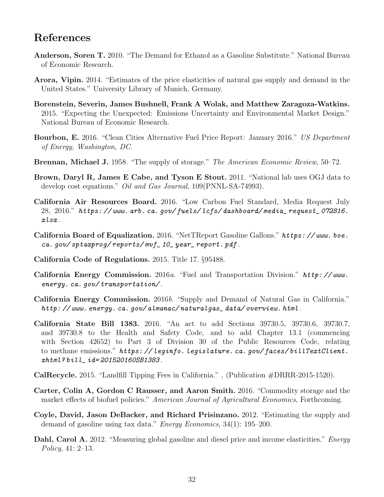# References

- Anderson, Soren T. 2010. "The Demand for Ethanol as a Gasoline Substitute." National Bureau of Economic Research.
- Arora, Vipin. 2014. "Estimates of the price elasticities of natural gas supply and demand in the United States." University Library of Munich, Germany.
- Borenstein, Severin, James Bushnell, Frank A Wolak, and Matthew Zaragoza-Watkins. 2015. "Expecting the Unexpected: Emissions Uncertainty and Environmental Market Design." National Bureau of Economic Research.
- Bourbon, E. 2016. "Clean Cities Alternative Fuel Price Report: January 2016." US Department of Energy, Washington, DC.
- Brennan, Michael J. 1958. "The supply of storage." The American Economic Review, 50-72.
- Brown, Daryl R, James E Cabe, and Tyson E Stout. 2011. "National lab uses OGJ data to develop cost equations." *Oil and Gas Journal*, 109(PNNL-SA-74993).
- California Air Resources Board. 2016. "Low Carbon Fuel Standard, Media Request July 28, 2016." https: // www. arb. ca. gov/ fuels/ lcfs/ dashboard/ media\_ request\_ 072816. xlsx .
- California Board of Equalization. 2016. "NetTReport Gasoline Gallons." https: // www. boe. ca. gov/ sptaxprog/ reports/ mvf\_ 10\_ year\_ report. pdf .
- California Code of Regulations. 2015. Title 17. §95488.
- California Energy Commission. 2016a. "Fuel and Transportation Division." http: // www. energy. ca. gov/ transportation/ .
- California Energy Commission. 2016b. "Supply and Demand of Natural Gas in California." http: // www. energy. ca. gov/ almanac/ naturalgas\_ data/ overview. html .
- California State Bill 1383. 2016. "An act to add Sections 39730.5, 39730.6, 39730.7, and 39730.8 to the Health and Safety Code, and to add Chapter 13.1 (commencing with Section 42652) to Part 3 of Division 30 of the Public Resources Code, relating to methane emissions." https://leginfo.legislature.ca.gov/faces/billTextClient. xhtml? bill\_ id= 201520160SB1383 .
- CalRecycle. 2015. "Landfill Tipping Fees in California." , (Publication #DRRR-2015-1520).
- Carter, Colin A, Gordon C Rausser, and Aaron Smith. 2016. "Commodity storage and the market effects of biofuel policies." American Journal of Agricultural Economics, Forthcoming.
- Coyle, David, Jason DeBacker, and Richard Prisinzano. 2012. "Estimating the supply and demand of gasoline using tax data." *Energy Economics*, 34(1): 195–200.
- Dahl, Carol A. 2012. "Measuring global gasoline and diesel price and income elasticities." *Energy* Policy, 41: 2–13.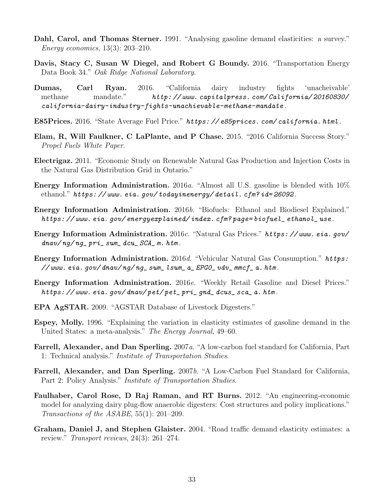- Dahl, Carol, and Thomas Sterner. 1991. "Analysing gasoline demand elasticities: a survey." Energy economics, 13(3): 203–210.
- Davis, Stacy C, Susan W Diegel, and Robert G Boundy. 2016. "Transportation Energy Data Book 34." Oak Ridge National Laboratory.
- Dumas, Carl Ryan. 2016. "California dairy industry fights 'unacheivable' methane mandate." http://www.capitalpress.com/California/20160830/ california-dairy-industry-fights-unachievable-methane-mandate .
- E85Prices. 2016. "State Average Fuel Price." https: // e85prices. com/ california. html .
- Elam, R, Will Faulkner, C LaPlante, and P Chase. 2015. "2016 California Success Story." Propel Fuels White Paper.
- Electrigaz. 2011. "Economic Study on Renewable Natural Gas Production and Injection Costs in the Natural Gas Distribution Grid in Ontario."
- Energy Information Administration. 2016a. "Almost all U.S. gasoline is blended with 10% ethanol." https: // www. eia. gov/ todayinenergy/ detail. cfm? id= 26092 .
- Energy Information Administration. 2016b. "Biofuels: Ethanol and Biodiesel Explained." https: // www. eia. gov/ energyexplained/ index. cfm? page= biofuel\_ ethanol\_ use .
- Energy Information Administration. 2016c. "Natural Gas Prices." https: // www. eia. gov/  $dnav/ng/ng_{pri\_sum\_dcu\_SCA_{m}.htm.$
- Energy Information Administration. 2016d. "Vehicular Natural Gas Consumption." https:  $\frac{1}{2}$  www.eia.gov/dnav/ng/ng\_sum\_lsum\_a\_EPGO\_vdv\_mmcf\_a.htm.
- Energy Information Administration. 2016e. "Weekly Retail Gasoline and Diesel Prices." https://www.eia.gov/dnav/pet/pet\_pri\_gnd\_dcus\_sca\_a.htm.
- EPA AgSTAR. 2009. "AGSTAR Database of Livestock Digesters."
- Espey, Molly. 1996. "Explaining the variation in elasticity estimates of gasoline demand in the United States: a meta-analysis." The Energy Journal, 49–60.
- Farrell, Alexander, and Dan Sperling. 2007a. "A low-carbon fuel standard for California, Part 1: Technical analysis." Institute of Transportation Studies.
- Farrell, Alexander, and Dan Sperling. 2007b. "A Low-Carbon Fuel Standard for California, Part 2: Policy Analysis." *Institute of Transportation Studies*.
- Faulhaber, Carol Rose, D Raj Raman, and RT Burns. 2012. "An engineering-economic model for analyzing dairy plug-flow anaerobic digesters: Cost structures and policy implications." Transactions of the ASABE, 55(1): 201–209.
- Graham, Daniel J, and Stephen Glaister. 2004. "Road traffic demand elasticity estimates: a review." Transport reviews, 24(3): 261–274.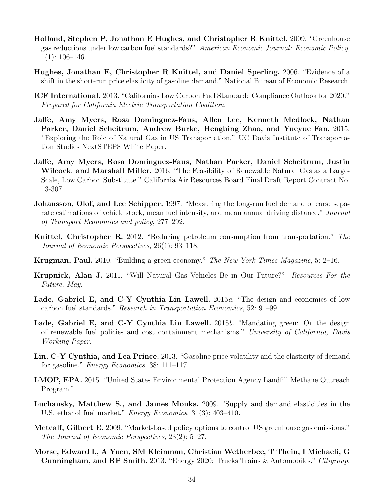- Holland, Stephen P, Jonathan E Hughes, and Christopher R Knittel. 2009. "Greenhouse gas reductions under low carbon fuel standards?" American Economic Journal: Economic Policy,  $1(1): 106-146.$
- Hughes, Jonathan E, Christopher R Knittel, and Daniel Sperling. 2006. "Evidence of a shift in the short-run price elasticity of gasoline demand." National Bureau of Economic Research.
- ICF International. 2013. "Californias Low Carbon Fuel Standard: Compliance Outlook for 2020." Prepared for California Electric Transportation Coalition.
- Jaffe, Amy Myers, Rosa Dominguez-Faus, Allen Lee, Kenneth Medlock, Nathan Parker, Daniel Scheitrum, Andrew Burke, Hengbing Zhao, and Yueyue Fan. 2015. "Exploring the Role of Natural Gas in US Transportation." UC Davis Institute of Transportation Studies NextSTEPS White Paper.
- Jaffe, Amy Myers, Rosa Dominguez-Faus, Nathan Parker, Daniel Scheitrum, Justin Wilcock, and Marshall Miller. 2016. "The Feasibility of Renewable Natural Gas as a Large-Scale, Low Carbon Substitute." California Air Resources Board Final Draft Report Contract No. 13-307.
- Johansson, Olof, and Lee Schipper. 1997. "Measuring the long-run fuel demand of cars: separate estimations of vehicle stock, mean fuel intensity, and mean annual driving distance." Journal of Transport Economics and policy, 277–292.
- Knittel, Christopher R. 2012. "Reducing petroleum consumption from transportation." The Journal of Economic Perspectives, 26(1): 93–118.
- Krugman, Paul. 2010. "Building a green economy." The New York Times Magazine, 5: 2–16.
- Krupnick, Alan J. 2011. "Will Natural Gas Vehicles Be in Our Future?" Resources For the Future, May.
- Lade, Gabriel E, and C-Y Cynthia Lin Lawell. 2015a. "The design and economics of low carbon fuel standards." Research in Transportation Economics, 52: 91–99.
- Lade, Gabriel E, and C-Y Cynthia Lin Lawell. 2015b. "Mandating green: On the design of renewable fuel policies and cost containment mechanisms." University of California, Davis Working Paper.
- Lin, C-Y Cynthia, and Lea Prince. 2013. "Gasoline price volatility and the elasticity of demand for gasoline." Energy Economics, 38: 111–117.
- LMOP, EPA. 2015. "United States Environmental Protection Agency Landfill Methane Outreach Program."
- Luchansky, Matthew S., and James Monks. 2009. "Supply and demand elasticities in the U.S. ethanol fuel market." *Energy Economics*, 31(3): 403–410.
- Metcalf, Gilbert E. 2009. "Market-based policy options to control US greenhouse gas emissions." The Journal of Economic Perspectives, 23(2): 5–27.
- Morse, Edward L, A Yuen, SM Kleinman, Christian Wetherbee, T Thein, I Michaeli, G Cunningham, and RP Smith. 2013. "Energy 2020: Trucks Trains & Automobiles." Citigroup.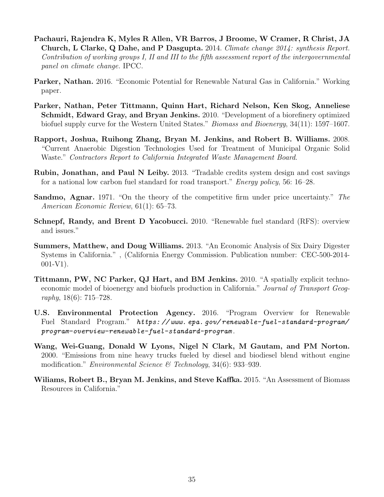- Pachauri, Rajendra K, Myles R Allen, VR Barros, J Broome, W Cramer, R Christ, JA Church, L Clarke, Q Dahe, and P Dasgupta. 2014. Climate change 2014: synthesis Report. Contribution of working groups I, II and III to the fifth assessment report of the intergovernmental panel on climate change. IPCC.
- Parker, Nathan. 2016. "Economic Potential for Renewable Natural Gas in California." Working paper.
- Parker, Nathan, Peter Tittmann, Quinn Hart, Richard Nelson, Ken Skog, Anneliese Schmidt, Edward Gray, and Bryan Jenkins. 2010. "Development of a biorefinery optimized biofuel supply curve for the Western United States." *Biomass and Bioenergy*, 34(11): 1597–1607.
- Rapport, Joshua, Ruihong Zhang, Bryan M. Jenkins, and Robert B. Williams. 2008. "Current Anaerobic Digestion Technologies Used for Treatment of Municipal Organic Solid Waste." Contractors Report to California Integrated Waste Management Board.
- Rubin, Jonathan, and Paul N Leiby. 2013. "Tradable credits system design and cost savings for a national low carbon fuel standard for road transport." Energy policy, 56: 16–28.
- Sandmo, Agnar. 1971. "On the theory of the competitive firm under price uncertainty." The American Economic Review, 61(1): 65–73.
- Schnepf, Randy, and Brent D Yacobucci. 2010. "Renewable fuel standard (RFS): overview and issues."
- Summers, Matthew, and Doug Williams. 2013. "An Economic Analysis of Six Dairy Digester Systems in California." , (California Energy Commission. Publication number: CEC-500-2014-  $001-V1$ ).
- Tittmann, PW, NC Parker, QJ Hart, and BM Jenkins. 2010. "A spatially explicit technoeconomic model of bioenergy and biofuels production in California." Journal of Transport Geography, 18(6): 715–728.
- U.S. Environmental Protection Agency. 2016. "Program Overview for Renewable Fuel Standard Program." https://www.epa.gov/renewable-fuel-standard-program/ program-overview-renewable-fuel-standard-program .
- Wang, Wei-Guang, Donald W Lyons, Nigel N Clark, M Gautam, and PM Norton. 2000. "Emissions from nine heavy trucks fueled by diesel and biodiesel blend without engine modification." *Environmental Science* & Technology, 34(6): 933–939.
- Wiliams, Robert B., Bryan M. Jenkins, and Steve Kaffka. 2015. "An Assessment of Biomass Resources in California."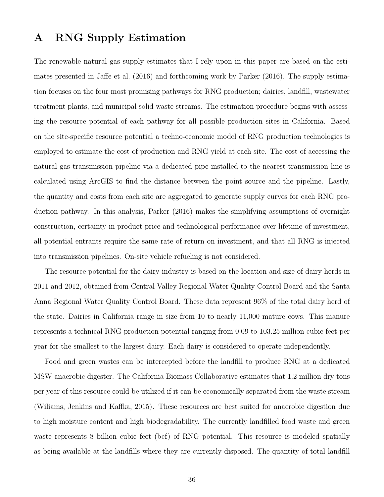# A RNG Supply Estimation

The renewable natural gas supply estimates that I rely upon in this paper are based on the estimates presented in Jaffe et al. (2016) and forthcoming work by Parker (2016). The supply estimation focuses on the four most promising pathways for RNG production; dairies, landfill, wastewater treatment plants, and municipal solid waste streams. The estimation procedure begins with assessing the resource potential of each pathway for all possible production sites in California. Based on the site-specific resource potential a techno-economic model of RNG production technologies is employed to estimate the cost of production and RNG yield at each site. The cost of accessing the natural gas transmission pipeline via a dedicated pipe installed to the nearest transmission line is calculated using ArcGIS to find the distance between the point source and the pipeline. Lastly, the quantity and costs from each site are aggregated to generate supply curves for each RNG production pathway. In this analysis, Parker (2016) makes the simplifying assumptions of overnight construction, certainty in product price and technological performance over lifetime of investment, all potential entrants require the same rate of return on investment, and that all RNG is injected into transmission pipelines. On-site vehicle refueling is not considered.

The resource potential for the dairy industry is based on the location and size of dairy herds in 2011 and 2012, obtained from Central Valley Regional Water Quality Control Board and the Santa Anna Regional Water Quality Control Board. These data represent 96% of the total dairy herd of the state. Dairies in California range in size from 10 to nearly 11,000 mature cows. This manure represents a technical RNG production potential ranging from 0.09 to 103.25 million cubic feet per year for the smallest to the largest dairy. Each dairy is considered to operate independently.

Food and green wastes can be intercepted before the landfill to produce RNG at a dedicated MSW anaerobic digester. The California Biomass Collaborative estimates that 1.2 million dry tons per year of this resource could be utilized if it can be economically separated from the waste stream (Wiliams, Jenkins and Kaffka, 2015). These resources are best suited for anaerobic digestion due to high moisture content and high biodegradability. The currently landfilled food waste and green waste represents 8 billion cubic feet (bcf) of RNG potential. This resource is modeled spatially as being available at the landfills where they are currently disposed. The quantity of total landfill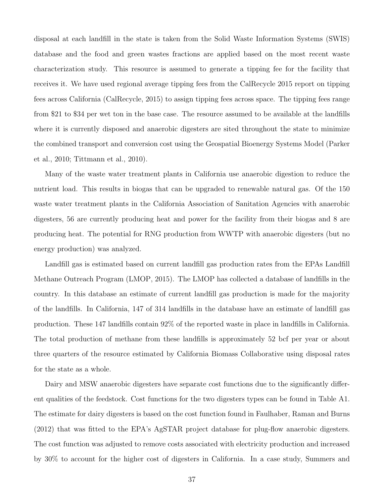disposal at each landfill in the state is taken from the Solid Waste Information Systems (SWIS) database and the food and green wastes fractions are applied based on the most recent waste characterization study. This resource is assumed to generate a tipping fee for the facility that receives it. We have used regional average tipping fees from the CalRecycle 2015 report on tipping fees across California (CalRecycle, 2015) to assign tipping fees across space. The tipping fees range from \$21 to \$34 per wet ton in the base case. The resource assumed to be available at the landfills where it is currently disposed and anaerobic digesters are sited throughout the state to minimize the combined transport and conversion cost using the Geospatial Bioenergy Systems Model (Parker et al., 2010; Tittmann et al., 2010).

Many of the waste water treatment plants in California use anaerobic digestion to reduce the nutrient load. This results in biogas that can be upgraded to renewable natural gas. Of the 150 waste water treatment plants in the California Association of Sanitation Agencies with anaerobic digesters, 56 are currently producing heat and power for the facility from their biogas and 8 are producing heat. The potential for RNG production from WWTP with anaerobic digesters (but no energy production) was analyzed.

Landfill gas is estimated based on current landfill gas production rates from the EPAs Landfill Methane Outreach Program (LMOP, 2015). The LMOP has collected a database of landfills in the country. In this database an estimate of current landfill gas production is made for the majority of the landfills. In California, 147 of 314 landfills in the database have an estimate of landfill gas production. These 147 landfills contain 92% of the reported waste in place in landfills in California. The total production of methane from these landfills is approximately 52 bcf per year or about three quarters of the resource estimated by California Biomass Collaborative using disposal rates for the state as a whole.

Dairy and MSW anaerobic digesters have separate cost functions due to the significantly different qualities of the feedstock. Cost functions for the two digesters types can be found in Table A1. The estimate for dairy digesters is based on the cost function found in Faulhaber, Raman and Burns (2012) that was fitted to the EPA's AgSTAR project database for plug-flow anaerobic digesters. The cost function was adjusted to remove costs associated with electricity production and increased by 30% to account for the higher cost of digesters in California. In a case study, Summers and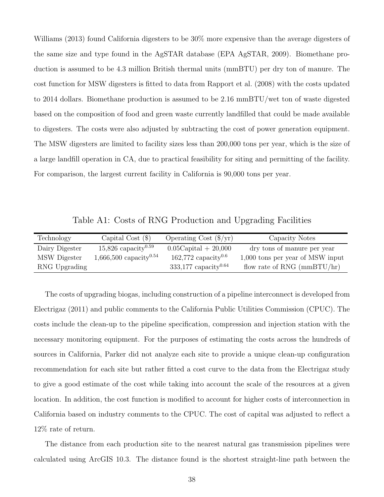Williams (2013) found California digesters to be 30% more expensive than the average digesters of the same size and type found in the AgSTAR database (EPA AgSTAR, 2009). Biomethane production is assumed to be 4.3 million British thermal units (mmBTU) per dry ton of manure. The cost function for MSW digesters is fitted to data from Rapport et al. (2008) with the costs updated to 2014 dollars. Biomethane production is assumed to be 2.16 mmBTU/wet ton of waste digested based on the composition of food and green waste currently landfilled that could be made available to digesters. The costs were also adjusted by subtracting the cost of power generation equipment. The MSW digesters are limited to facility sizes less than 200,000 tons per year, which is the size of a large landfill operation in CA, due to practical feasibility for siting and permitting of the facility. For comparison, the largest current facility in California is 90,000 tons per year.

Table A1: Costs of RNG Production and Upgrading Facilities

| Technology     | Capital Cost $(\$)$                  | Operating Cost $(\frac{6}{yr})$    | Capacity Notes                     |
|----------------|--------------------------------------|------------------------------------|------------------------------------|
| Dairy Digester | $15,826$ capacity <sup>0.59</sup>    | $0.05$ Capital + 20,000            | dry tons of manure per year        |
| MSW Digester   | $1,666,500$ capacity <sup>0.54</sup> | $162,772$ capacity <sup>0.6</sup>  | $1,000$ tons per year of MSW input |
| RNG Upgrading  |                                      | $333,177$ capacity <sup>0.64</sup> | flow rate of RNG $(mmBTU/hr)$      |

The costs of upgrading biogas, including construction of a pipeline interconnect is developed from Electrigaz (2011) and public comments to the California Public Utilities Commission (CPUC). The costs include the clean-up to the pipeline specification, compression and injection station with the necessary monitoring equipment. For the purposes of estimating the costs across the hundreds of sources in California, Parker did not analyze each site to provide a unique clean-up configuration recommendation for each site but rather fitted a cost curve to the data from the Electrigaz study to give a good estimate of the cost while taking into account the scale of the resources at a given location. In addition, the cost function is modified to account for higher costs of interconnection in California based on industry comments to the CPUC. The cost of capital was adjusted to reflect a 12% rate of return.

The distance from each production site to the nearest natural gas transmission pipelines were calculated using ArcGIS 10.3. The distance found is the shortest straight-line path between the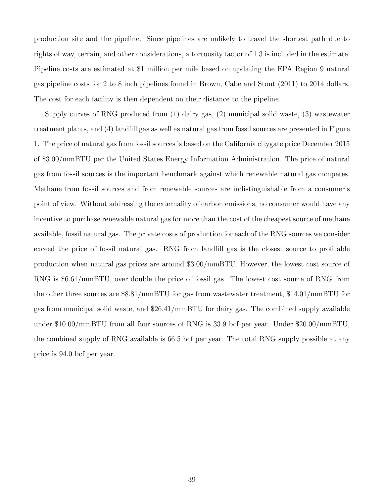production site and the pipeline. Since pipelines are unlikely to travel the shortest path due to rights of way, terrain, and other considerations, a tortuosity factor of 1.3 is included in the estimate. Pipeline costs are estimated at \$1 million per mile based on updating the EPA Region 9 natural gas pipeline costs for 2 to 8 inch pipelines found in Brown, Cabe and Stout (2011) to 2014 dollars. The cost for each facility is then dependent on their distance to the pipeline.

Supply curves of RNG produced from (1) dairy gas, (2) municipal solid waste, (3) wastewater treatment plants, and (4) landfill gas as well as natural gas from fossil sources are presented in Figure 1. The price of natural gas from fossil sources is based on the California citygate price December 2015 of \$3.00/mmBTU per the United States Energy Information Administration. The price of natural gas from fossil sources is the important benchmark against which renewable natural gas competes. Methane from fossil sources and from renewable sources are indistinguishable from a consumer's point of view. Without addressing the externality of carbon emissions, no consumer would have any incentive to purchase renewable natural gas for more than the cost of the cheapest source of methane available, fossil natural gas. The private costs of production for each of the RNG sources we consider exceed the price of fossil natural gas. RNG from landfill gas is the closest source to profitable production when natural gas prices are around \$3.00/mmBTU. However, the lowest cost source of RNG is \$6.61/mmBTU, over double the price of fossil gas. The lowest cost source of RNG from the other three sources are \$8.81/mmBTU for gas from wastewater treatment, \$14.01/mmBTU for gas from municipal solid waste, and \$26.41/mmBTU for dairy gas. The combined supply available under \$10.00/mmBTU from all four sources of RNG is 33.9 bcf per year. Under \$20.00/mmBTU, the combined supply of RNG available is 66.5 bcf per year. The total RNG supply possible at any price is 94.0 bcf per year.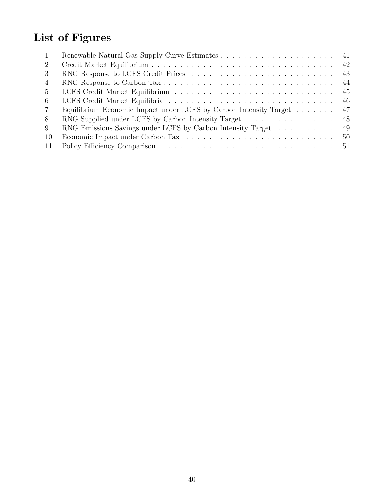# List of Figures

| -1          |                                                                   | -41 |
|-------------|-------------------------------------------------------------------|-----|
| 2           |                                                                   | 42  |
| -3          |                                                                   | 43  |
| 4           |                                                                   | 44  |
| $5^{\circ}$ |                                                                   | 45  |
| -6          |                                                                   | 46  |
| 7           | Equilibrium Economic Impact under LCFS by Carbon Intensity Target | 47  |
| 8           | RNG Supplied under LCFS by Carbon Intensity Target                | 48  |
| -9          | RNG Emissions Savings under LCFS by Carbon Intensity Target       | 49  |
| -10         |                                                                   | 50  |
| -11         |                                                                   | 51  |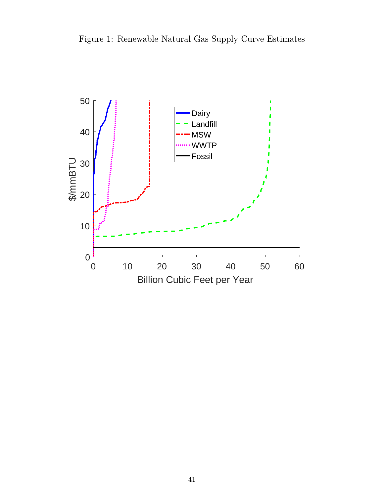Figure 1: Renewable Natural Gas Supply Curve Estimates

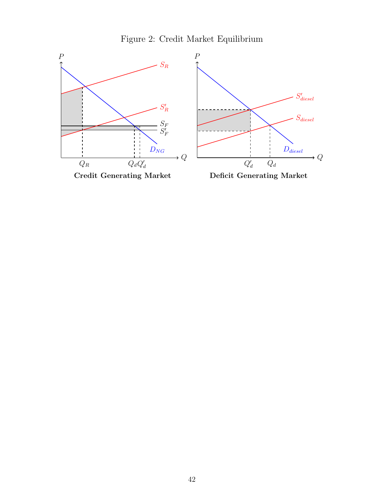Figure 2: Credit Market Equilibrium

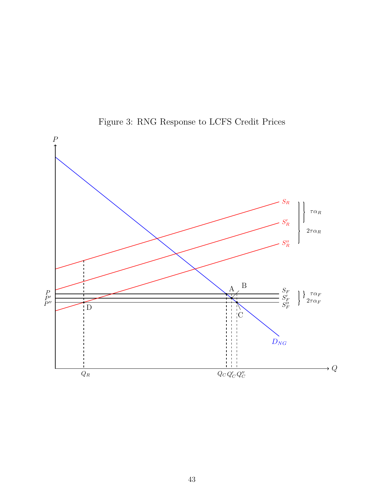

Figure 3: RNG Response to LCFS Credit Prices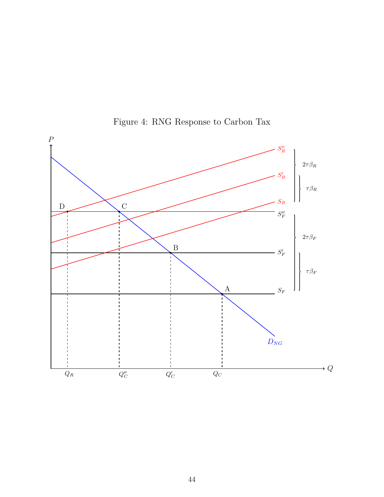

Figure 4: RNG Response to Carbon Tax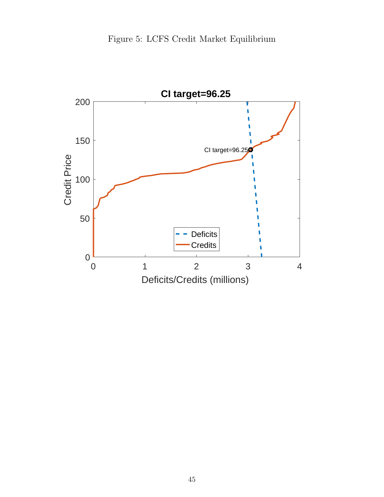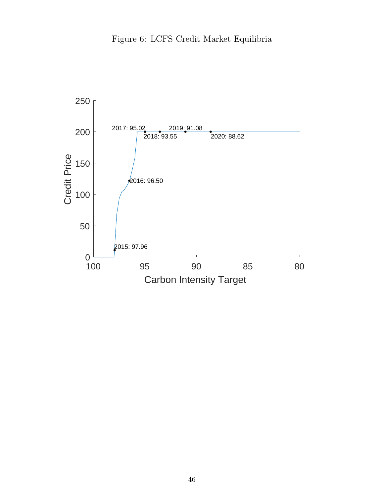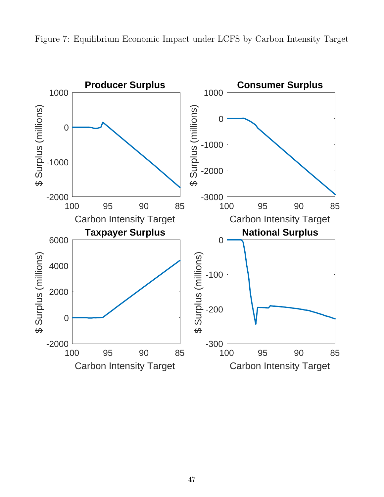

Figure 7: Equilibrium Economic Impact under LCFS by Carbon Intensity Target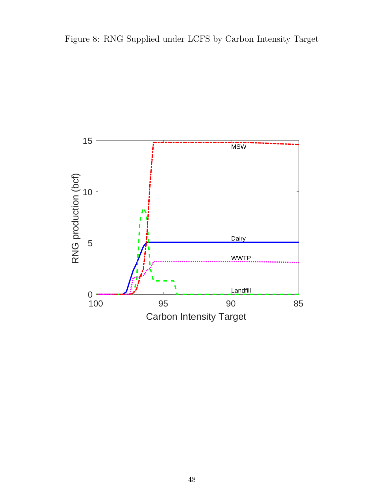

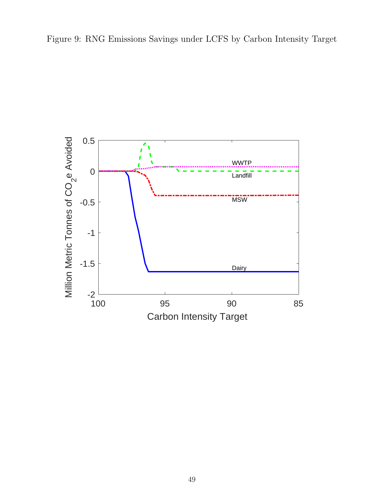

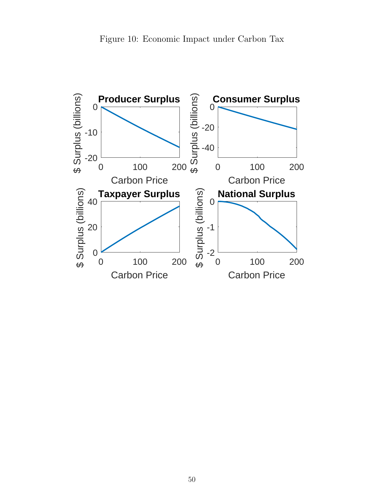